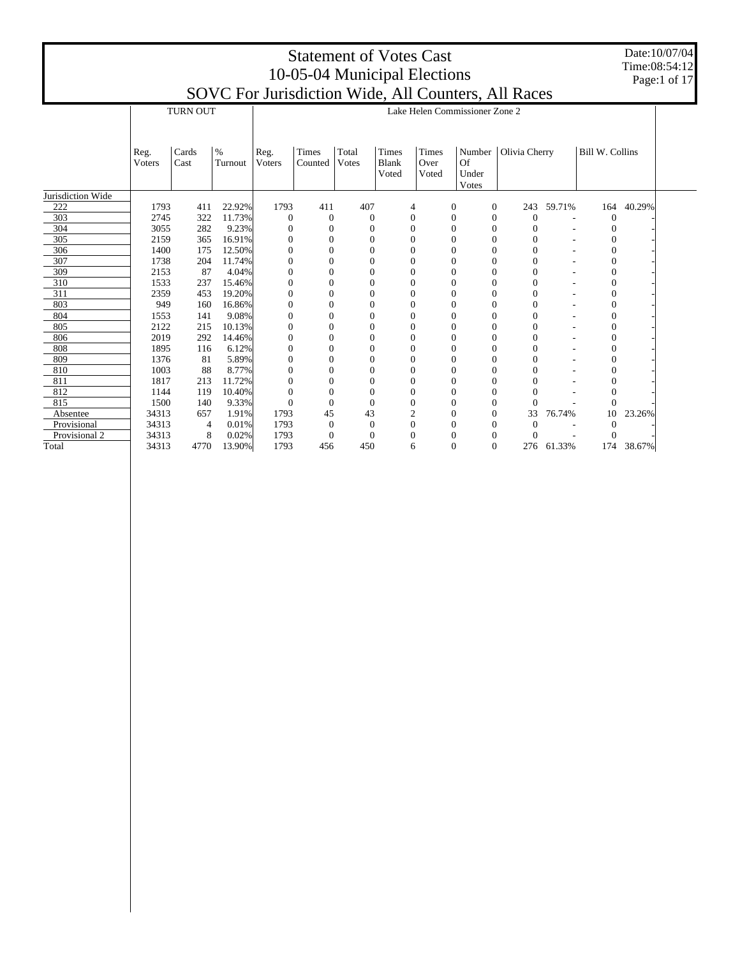Date:10/07/04 Time:08:54:12 Page:1 of 17

|                   |                |                |                 |                |                  |                |                       |                  |                |                                | SOVCTOI JUISUICIIOII WIUC, AII COUIICIS, AII NACCS |            |                        |        |  |
|-------------------|----------------|----------------|-----------------|----------------|------------------|----------------|-----------------------|------------------|----------------|--------------------------------|----------------------------------------------------|------------|------------------------|--------|--|
|                   |                | TURN OUT       |                 |                |                  |                |                       |                  |                | Lake Helen Commissioner Zone 2 |                                                    |            |                        |        |  |
|                   |                |                |                 |                |                  |                |                       |                  |                |                                |                                                    |            |                        |        |  |
|                   |                |                |                 |                |                  |                |                       |                  |                |                                |                                                    |            |                        |        |  |
|                   | Reg.<br>Voters | Cards<br>Cast  | $\%$<br>Turnout | Reg.<br>Voters | Times<br>Counted | Total<br>Votes | Times<br><b>Blank</b> | Times<br>Over    |                | <b>Of</b>                      | Number   Olivia Cherry                             |            | <b>Bill W. Collins</b> |        |  |
|                   |                |                |                 |                |                  |                | Voted                 | Voted            |                | Under<br>Votes                 |                                                    |            |                        |        |  |
| Jurisdiction Wide |                |                |                 |                |                  |                |                       |                  |                |                                |                                                    |            |                        |        |  |
| 222               | 1793           | 411            | 22.92%          | 1793           | 411              | 407            |                       | 4                | $\overline{0}$ | $\theta$                       |                                                    | 243 59.71% | 164                    | 40.29% |  |
| 303               | 2745           | 322            | 11.73%          | $\theta$       | $\mathbf{0}$     | $\theta$       |                       | $\boldsymbol{0}$ | $\theta$       | $\overline{0}$                 | $\Omega$                                           |            | $\Omega$               |        |  |
| 304               | 3055           | 282            | 9.23%           |                | $\overline{0}$   | $\Omega$       |                       | $\mathbf{0}$     | $\theta$       | $\Omega$                       | $\Omega$                                           |            |                        |        |  |
| 305               | 2159           | 365            | 16.91%          | 0              | $\theta$         | $\Omega$       |                       | $\Omega$         | $\Omega$       | $\Omega$                       | 0                                                  |            |                        |        |  |
| 306               | 1400           | 175            | 12.50%          | 0              | $\Omega$         | $\Omega$       |                       | $\Omega$         | 0              | $\Omega$                       | $\Omega$                                           |            | $\Omega$               |        |  |
| 307               | 1738           | 204            | 11.74%          |                |                  | $\theta$       |                       | $\mathbf{0}$     |                | $\Omega$                       | 0                                                  |            |                        |        |  |
| 309               | 2153           | 87             | 4.04%           | 0              | 0                | $\Omega$       |                       | $\Omega$         | 0              | $\Omega$                       | $\Omega$                                           |            | 0                      |        |  |
| 310               | 1533           | 237            | 15.46%          | 0              | $\Omega$         | $\Omega$       |                       | $\mathbf{0}$     | $\Omega$       | $\Omega$                       | $\theta$                                           |            | 0                      |        |  |
| 311               | 2359           | 453            | 19.20%          | $\mathbf{0}$   | 0                | $\theta$       |                       | $\mathbf{0}$     | 0              | $\Omega$                       | $\overline{0}$                                     |            | $\Omega$               |        |  |
| 803               | 949            | 160            | 16.86%          |                |                  | $\theta$       |                       | $\mathbf{0}$     | $\theta$       | $\Omega$                       | $\overline{0}$                                     |            | $\Omega$               |        |  |
| 804               | 1553           | 141            | 9.08%           | 0              | 0                | $\Omega$       |                       | $\Omega$         | 0              | $\Omega$                       | $\Omega$                                           |            | 0                      |        |  |
| 805               | 2122           | 215            | 10.13%          | 0              |                  | $\Omega$       |                       | $\Omega$         |                | $\Omega$                       | $\Omega$                                           |            | 0                      |        |  |
| 806               | 2019           | 292            | 14.46%          | $\theta$       |                  | $\theta$       |                       | $\overline{0}$   |                | $\mathbf{0}$                   | 0                                                  |            |                        |        |  |
| 808               | 1895           | 116            | 6.12%           | 0              | 0                | $\Omega$       |                       | $\Omega$         | 0              | $\Omega$                       | $\theta$                                           |            | 0                      |        |  |
| 809               | 1376           | 81             | 5.89%           | 0              | 0                | $\Omega$       |                       | $\mathbf{0}$     | 0              | $\Omega$                       | $\theta$                                           |            | 0                      |        |  |
| 810               | 1003           | 88             | 8.77%           | 0              |                  | $\Omega$       |                       | $\Omega$         | $\Omega$       | $\Omega$                       | $\theta$                                           |            |                        |        |  |
| 811               | 1817           | 213            | 11.72%          |                |                  | $\theta$       |                       | $\overline{0}$   |                | $\mathbf{0}$                   |                                                    |            |                        |        |  |
| 812               | 1144           | 119            | 10.40%          | 0              | $\theta$         | $\Omega$       |                       | $\Omega$         | $\Omega$       | $\Omega$                       |                                                    |            |                        |        |  |
| 815               | 1500           | 140            | 9.33%           | $\mathbf{0}$   | $\theta$         | $\Omega$       |                       | $\Omega$         | 0              | $\Omega$                       | 0                                                  |            | $\Omega$               |        |  |
| Absentee          | 34313          | 657            | 1.91%           | 1793           | 45               | 43             |                       | 2                | 0              | $\mathbf{0}$                   | 33                                                 | 76.74%     | 10                     | 23.26% |  |
| Provisional       | 34313          | $\overline{4}$ | 0.01%           | 1793           | $\mathbf{0}$     | $\Omega$       |                       | $\mathbf{0}$     | 0              | $\Omega$                       | $\Omega$                                           |            | $\Omega$               |        |  |
| Provisional 2     | 34313          | 8              | 0.02%           | 1793           | $\theta$         | $\Omega$       |                       | $\Omega$         | 0              | $\Omega$                       |                                                    |            |                        |        |  |
| Total             | 34313          | 4770           | 13.90%          | 1793           | 456              | 450            |                       | 6                | $\theta$       | $\Omega$                       |                                                    | 276 61.33% | 174                    | 38.67% |  |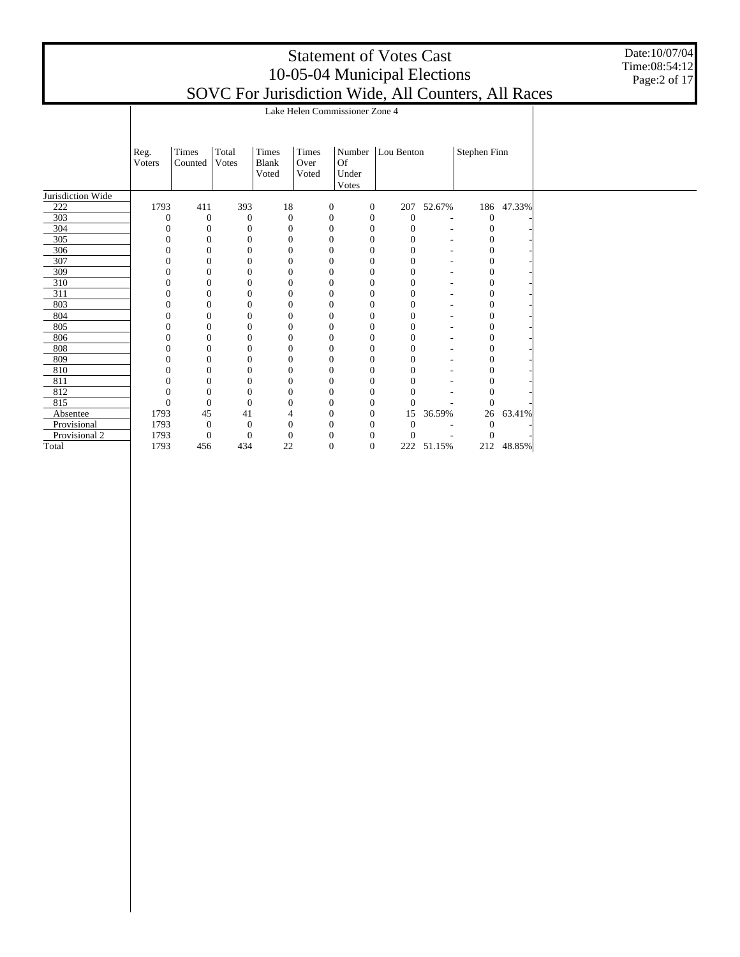Date:10/07/04 Time:08:54:12 Page:2 of 17

|                   |                | Lake Helen Commissioner Zone 4 |                |                                |                        |                                |                  |                  |        |                |        |  |  |  |  |
|-------------------|----------------|--------------------------------|----------------|--------------------------------|------------------------|--------------------------------|------------------|------------------|--------|----------------|--------|--|--|--|--|
|                   |                |                                |                |                                |                        |                                |                  |                  |        |                |        |  |  |  |  |
|                   | Reg.<br>Voters | Times<br>Counted               | Total<br>Votes | Times<br><b>Blank</b><br>Voted | Times<br>Over<br>Voted | Number<br>Of<br>Under<br>Votes |                  | Lou Benton       |        | Stephen Finn   |        |  |  |  |  |
| Jurisdiction Wide |                |                                |                |                                |                        |                                |                  |                  |        |                |        |  |  |  |  |
| 222               | 1793           | 411                            | 393            | 18                             |                        | $\mathbf{0}$                   | $\boldsymbol{0}$ | 207              | 52.67% | 186            | 47.33% |  |  |  |  |
| 303               | $\Omega$       | $\boldsymbol{0}$               | $\mathbf{0}$   | $\mathbf{0}$                   |                        | $\boldsymbol{0}$               | $\mathbf{0}$     | $\boldsymbol{0}$ | ٠      | $\overline{0}$ |        |  |  |  |  |
| 304               | 0              | $\mathbf{0}$                   | $\theta$       | $\boldsymbol{0}$               |                        | $\overline{0}$                 | $\boldsymbol{0}$ | $\boldsymbol{0}$ | ۰      |                |        |  |  |  |  |
| 305               | $\Omega$       | $\Omega$                       | $\Omega$       | $\boldsymbol{0}$               |                        | $\Omega$                       | $\mathbf{0}$     | $\Omega$         |        | $\Omega$       |        |  |  |  |  |
| 306               | 0              | $\mathbf{0}$                   | $\theta$       | $\boldsymbol{0}$               |                        | $\mathbf{0}$                   | $\mathbf{0}$     | $\overline{0}$   | ۰      | $\theta$       |        |  |  |  |  |
| 307               | $\Omega$       | 0                              | $\theta$       | $\overline{0}$                 |                        | $\overline{0}$                 | $\mathbf{0}$     | $\overline{0}$   | ٠      |                |        |  |  |  |  |
| 309               |                | $\Omega$                       | $\Omega$       | 0                              |                        | $\Omega$                       | $\mathbf{0}$     | $\theta$         |        | 0              |        |  |  |  |  |
| 310               |                | 0                              | $\theta$       | $\mathbf{0}$                   |                        | $\mathbf{0}$                   | $\mathbf{0}$     | 0                |        | 0              |        |  |  |  |  |
| 311               |                | 0                              | $\theta$       | 0                              |                        | $\mathbf{0}$                   | $\boldsymbol{0}$ | $\boldsymbol{0}$ |        | 0              |        |  |  |  |  |
| 803               | 0              | $\mathbf{0}$                   | $\theta$       | $\mathbf{0}$                   |                        | $\overline{0}$                 | $\mathbf{0}$     | $\mathbf{0}$     | ۰      | $\theta$       |        |  |  |  |  |
| 804               | 0              | 0                              | $\theta$       | $\mathbf{0}$                   |                        | $\mathbf{0}$                   | $\mathbf{0}$     | $\overline{0}$   | ۰      | $\theta$       |        |  |  |  |  |
| 805               |                | $\Omega$                       | $\theta$       | $\overline{0}$                 |                        | $\mathbf{0}$                   | $\boldsymbol{0}$ | $\overline{0}$   |        | 0              |        |  |  |  |  |
| 806               |                | $\Omega$                       | $\Omega$       | 0                              |                        | $\mathbf{0}$                   | $\mathbf{0}$     | 0                | ٠      |                |        |  |  |  |  |
| 808               |                | 0                              | $\theta$       | 0                              |                        | $\mathbf{0}$                   | $\mathbf{0}$     | $\overline{0}$   |        | $\theta$       |        |  |  |  |  |
| 809               |                | $\Omega$                       | $\theta$       | 0                              |                        | $\mathbf{0}$                   | $\mathbf{0}$     | $\overline{0}$   |        | 0              |        |  |  |  |  |
| 810               | 0              | $\Omega$                       | $\theta$       | $\mathbf{0}$                   |                        | $\overline{0}$                 | $\mathbf{0}$     | $\overline{0}$   |        | 0              |        |  |  |  |  |
| 811               | $\theta$       | 0                              | $\theta$       | $\boldsymbol{0}$               |                        | $\mathbf{0}$                   | $\boldsymbol{0}$ | $\overline{0}$   |        | $\Omega$       |        |  |  |  |  |
| 812               | 0              | $\overline{0}$                 | $\theta$       | $\overline{0}$                 |                        | $\mathbf{0}$                   | $\mathbf{0}$     | 0                |        |                |        |  |  |  |  |
| 815               | $\overline{0}$ | $\mathbf{0}$                   | $\Omega$       | $\mathbf{0}$                   |                        | $\mathbf{0}$                   | $\boldsymbol{0}$ | $\theta$         |        | $\Omega$       |        |  |  |  |  |
| Absentee          | 1793           | 45                             | 41             | 4                              |                        | $\overline{0}$                 | $\boldsymbol{0}$ | 15               | 36.59% | 26             | 63.41% |  |  |  |  |
| Provisional       | 1793           | $\mathbf{0}$                   | $\Omega$       | $\mathbf{0}$                   |                        | $\Omega$                       | $\mathbf{0}$     | $\mathbf{0}$     |        | $\Omega$       |        |  |  |  |  |
| Provisional 2     | 1793           | $\mathbf{0}$                   | $\theta$       | $\boldsymbol{0}$               |                        | $\Omega$                       | $\boldsymbol{0}$ | $\theta$         |        | $\Omega$       |        |  |  |  |  |
| Total             | 1793           | 456                            | 434            | 22                             |                        | $\mathbf{0}$                   | $\mathbf{0}$     | 222              | 51.15% | 212            | 48.85% |  |  |  |  |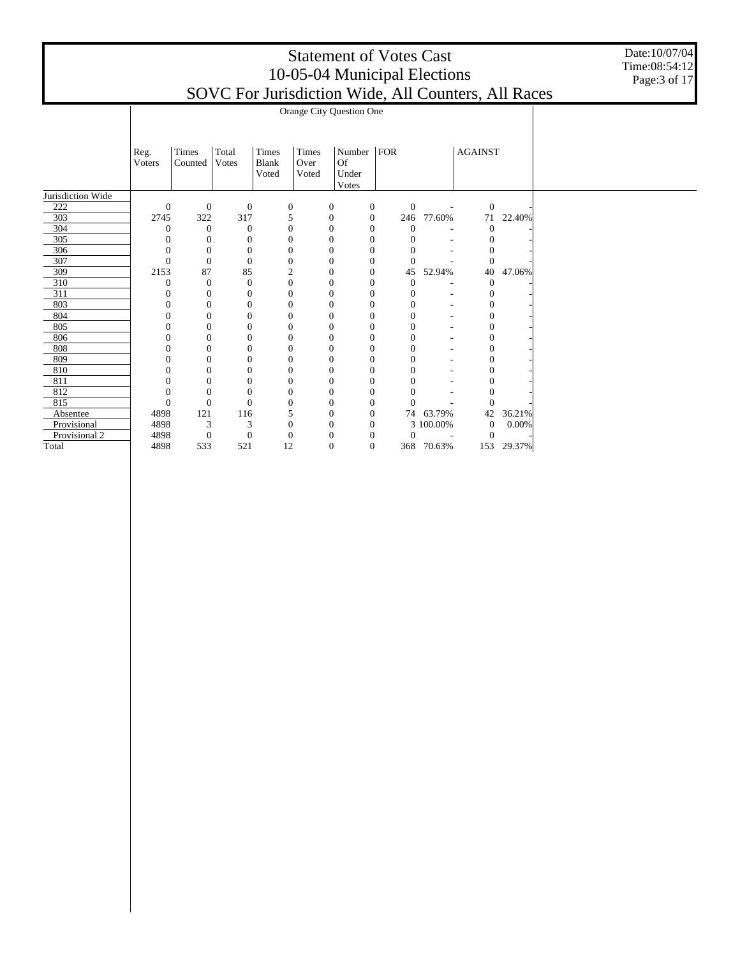Date:10/07/04 Time:08:54:12 Page:3 of 17

|                   |                | Orange City Question One |                  |                  |       |                  |                  |                  |            |                  |        |  |  |  |  |
|-------------------|----------------|--------------------------|------------------|------------------|-------|------------------|------------------|------------------|------------|------------------|--------|--|--|--|--|
|                   |                |                          |                  |                  |       |                  |                  |                  |            |                  |        |  |  |  |  |
|                   |                |                          |                  |                  |       |                  |                  |                  |            |                  |        |  |  |  |  |
|                   | Reg.           | Times                    | Total            | Times            | Times | Number   $FOR$   |                  |                  |            | <b>AGAINST</b>   |        |  |  |  |  |
|                   | Voters         | Counted                  | Votes            | <b>Blank</b>     | Over  | Of               |                  |                  |            |                  |        |  |  |  |  |
|                   |                |                          |                  | Voted            | Voted | Under            |                  |                  |            |                  |        |  |  |  |  |
|                   |                |                          |                  |                  |       | Votes            |                  |                  |            |                  |        |  |  |  |  |
| Jurisdiction Wide |                |                          |                  |                  |       |                  |                  |                  |            |                  |        |  |  |  |  |
| 222               | $\mathbf{0}$   | $\mathbf{0}$             | $\boldsymbol{0}$ | $\boldsymbol{0}$ |       | $\mathbf{0}$     | $\boldsymbol{0}$ | $\boldsymbol{0}$ | $\sim$     | $\mathbf{0}$     |        |  |  |  |  |
| 303               | 2745           | 322                      | 317              | 5                |       | $\boldsymbol{0}$ | $\boldsymbol{0}$ | 246              | 77.60%     | 71               | 22.40% |  |  |  |  |
| 304               | $\theta$       | $\theta$                 | $\theta$         | $\overline{0}$   |       | $\mathbf{0}$     | $\mathbf{0}$     | $\theta$         |            | $\mathbf{0}$     |        |  |  |  |  |
| 305               | $\overline{0}$ | $\mathbf{0}$             | $\theta$         | $\mathbf{0}$     |       | $\mathbf{0}$     | $\boldsymbol{0}$ | $\mathbf{0}$     |            | $\mathbf{0}$     |        |  |  |  |  |
| 306               | $\theta$       | $\mathbf{0}$             | $\mathbf{0}$     | $\overline{0}$   |       | $\mathbf{0}$     | $\overline{0}$   | $\overline{0}$   |            | $\overline{0}$   |        |  |  |  |  |
| 307               | $\Omega$       | $\Omega$                 | $\theta$         | $\mathbf{0}$     |       | $\mathbf{0}$     | $\mathbf{0}$     | $\mathbf{0}$     |            | $\overline{0}$   |        |  |  |  |  |
| 309               | 2153           | 87                       | 85               | $\overline{2}$   |       | $\boldsymbol{0}$ | $\mathbf{0}$     | 45               | 52.94%     | 40               | 47.06% |  |  |  |  |
| 310               | $\theta$       | $\boldsymbol{0}$         | $\boldsymbol{0}$ | $\mathbf{0}$     |       | $\boldsymbol{0}$ | $\mathbf{0}$     | $\boldsymbol{0}$ |            | $\boldsymbol{0}$ |        |  |  |  |  |
| 311               | $\theta$       | $\mathbf{0}$             | $\mathbf{0}$     | $\overline{0}$   |       | $\mathbf{0}$     | $\mathbf{0}$     | $\mathbf{0}$     | ٠          | $\mathbf{0}$     |        |  |  |  |  |
| 803               | $\overline{0}$ | $\mathbf{0}$             | $\theta$         | $\mathbf{0}$     |       | $\mathbf{0}$     | $\mathbf{0}$     | $\mathbf{0}$     |            | $\mathbf{0}$     |        |  |  |  |  |
| 804               | $\overline{0}$ | $\mathbf{0}$             | $\theta$         | $\theta$         |       | $\mathbf{0}$     | $\mathbf{0}$     | $\overline{0}$   |            | $\overline{0}$   |        |  |  |  |  |
| 805               | 0              | $\Omega$                 | $\Omega$         | $\theta$         |       | $\Omega$         | $\overline{0}$   | $\Omega$         |            | $\Omega$         |        |  |  |  |  |
| 806               | 0              | $\Omega$                 | 0                | $\Omega$         |       | $\mathbf{0}$     | $\mathbf{0}$     | $\mathbf{0}$     |            | $\boldsymbol{0}$ |        |  |  |  |  |
| 808               | $\mathbf{0}$   | $\mathbf{0}$             | $\overline{0}$   | $\overline{0}$   |       | $\boldsymbol{0}$ | $\mathbf{0}$     | $\mathbf{0}$     |            | $\mathbf{0}$     |        |  |  |  |  |
| 809               | 0              | $\Omega$                 | 0                | $\mathbf{0}$     |       | $\mathbf{0}$     | $\overline{0}$   | $\Omega$         |            | $\mathbf{0}$     |        |  |  |  |  |
| 810               | 0              | $\mathbf{0}$             | 0                | $\theta$         |       | $\mathbf{0}$     | $\boldsymbol{0}$ | 0                |            | $\mathbf{0}$     |        |  |  |  |  |
| 811               | C              | $\mathbf{0}$             | $\overline{0}$   | $\theta$         |       | $\mathbf{0}$     | $\mathbf{0}$     | $\theta$         |            | $\overline{0}$   |        |  |  |  |  |
| 812               | 0              | $\Omega$                 | $\Omega$         | $\mathbf{0}$     |       | $\mathbf{0}$     | $\overline{0}$   |                  |            | $\Omega$         |        |  |  |  |  |
| 815               | $\overline{0}$ | $\mathbf{0}$             | $\theta$         | $\theta$         |       | $\mathbf{0}$     | $\boldsymbol{0}$ | $\Omega$         |            | $\Omega$         |        |  |  |  |  |
| Absentee          | 4898           | 121                      | 116              | 5                |       | $\boldsymbol{0}$ | $\mathbf{0}$     |                  | 74 63.79%  | 42               | 36.21% |  |  |  |  |
| Provisional       | 4898           | 3                        | 3                | $\mathbf{0}$     |       | $\mathbf{0}$     | $\theta$         |                  | 3 100.00%  | $\mathbf{0}$     | 0.00%  |  |  |  |  |
| Provisional 2     | 4898           | $\boldsymbol{0}$         | $\boldsymbol{0}$ | $\boldsymbol{0}$ |       | $\mathbf{0}$     | $\mathbf{0}$     | $\mathbf{0}$     |            | $\theta$         |        |  |  |  |  |
| Total             | 4898           | 533                      | 521              | 12               |       | $\mathbf{0}$     | $\overline{0}$   |                  | 368 70.63% | 153              | 29.37% |  |  |  |  |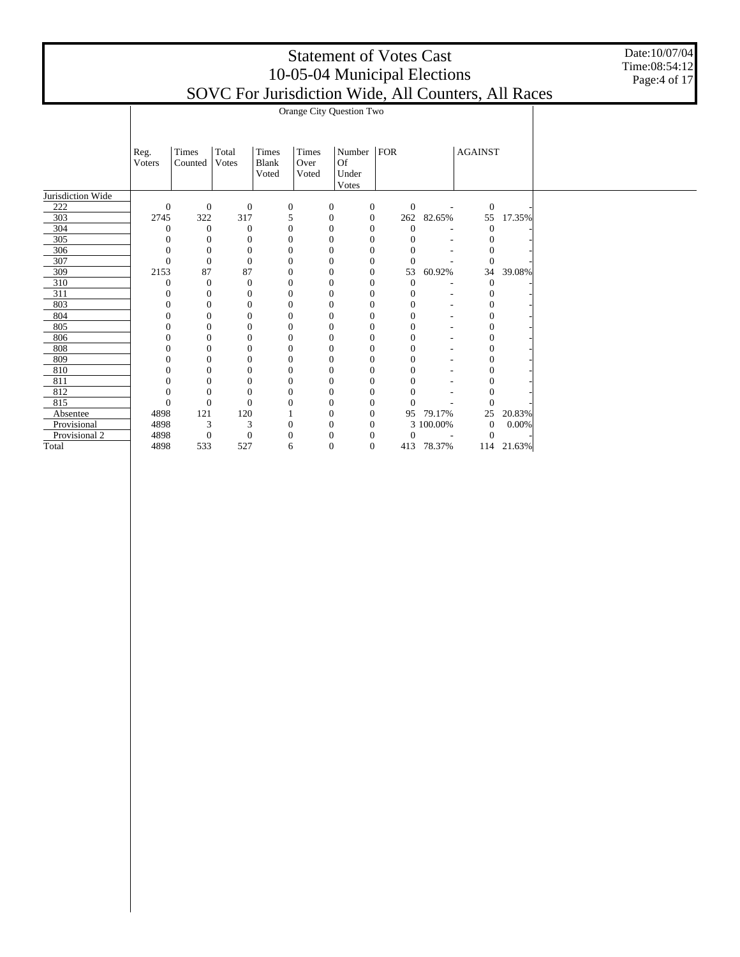Date:10/07/04 Time:08:54:12 Page:4 of 17

|                   |                  | Orange City Question Two |                |              |                  |                  |                  |                |                          |                |        |  |  |  |  |
|-------------------|------------------|--------------------------|----------------|--------------|------------------|------------------|------------------|----------------|--------------------------|----------------|--------|--|--|--|--|
|                   |                  |                          |                |              |                  |                  |                  |                |                          |                |        |  |  |  |  |
|                   |                  |                          |                |              |                  |                  |                  |                |                          |                |        |  |  |  |  |
|                   | Reg.             | Times                    | Total          | $\rm Times$  | Times            | Number           | <b>FOR</b>       |                |                          | <b>AGAINST</b> |        |  |  |  |  |
|                   | Voters           | Counted                  | <b>Votes</b>   | <b>Blank</b> | Over             | <b>Of</b>        |                  |                |                          |                |        |  |  |  |  |
|                   |                  |                          |                | Voted        | Voted            | Under            |                  |                |                          |                |        |  |  |  |  |
|                   |                  |                          |                |              |                  | Votes            |                  |                |                          |                |        |  |  |  |  |
| Jurisdiction Wide |                  |                          |                |              |                  |                  |                  |                |                          |                |        |  |  |  |  |
| 222               | $\boldsymbol{0}$ | $\mathbf{0}$             | $\mathbf{0}$   |              | $\boldsymbol{0}$ | $\boldsymbol{0}$ | $\boldsymbol{0}$ | $\mathbf{0}$   | $\overline{\phantom{a}}$ | $\mathbf{0}$   |        |  |  |  |  |
| 303               | 2745             | 322                      | 317            |              | 5                | $\mathbf{0}$     | $\mathbf{0}$     | 262            | 82.65%                   | 55             | 17.35% |  |  |  |  |
| 304               | $\theta$         | $\mathbf{0}$             | $\theta$       |              | $\boldsymbol{0}$ | $\overline{0}$   | $\theta$         | $\theta$       |                          | $\overline{0}$ |        |  |  |  |  |
| 305               | $\mathbf{0}$     | $\mathbf{0}$             | $\overline{0}$ |              | $\theta$         | $\overline{0}$   | $\theta$         | $\theta$       |                          | $\theta$       |        |  |  |  |  |
| 306               | $\mathbf{0}$     | $\mathbf{0}$             | $\mathbf{0}$   |              | $\mathbf{0}$     | $\mathbf{0}$     | $\mathbf{0}$     | $\mathbf{0}$   |                          | 0              |        |  |  |  |  |
| 307               | $\Omega$         | $\mathbf{0}$             | $\overline{0}$ |              | $\mathbf{0}$     | $\mathbf{0}$     | $\mathbf{0}$     | $\theta$       |                          | $\Omega$       |        |  |  |  |  |
| 309               | 2153             | 87                       | 87             |              | $\Omega$         | $\overline{0}$   | $\boldsymbol{0}$ | 53             | 60.92%                   | 34             | 39.08% |  |  |  |  |
| 310               | $\mathbf{0}$     | $\overline{0}$           | $\overline{0}$ |              | $\mathbf{0}$     | $\overline{0}$   | $\overline{0}$   | $\theta$       |                          | $\theta$       |        |  |  |  |  |
| 311               | $\mathbf{0}$     | $\mathbf{0}$             | $\overline{0}$ |              | $\mathbf{0}$     | $\mathbf{0}$     | $\theta$         | $\mathbf{0}$   | ٠                        | 0              |        |  |  |  |  |
| 803               | $\Omega$         | $\mathbf{0}$             | $\overline{0}$ |              | $\theta$         | $\overline{0}$   | $\mathbf{0}$     | $\mathbf{0}$   | ٠                        | $\overline{0}$ |        |  |  |  |  |
| 804               | $\overline{0}$   | $\mathbf{0}$             | $\mathbf{0}$   |              | $\mathbf{0}$     | $\overline{0}$   | $\mathbf{0}$     | 0              | ۰                        | $\overline{0}$ |        |  |  |  |  |
| 805               | $\Omega$         | $\theta$                 | $\overline{0}$ |              | $\Omega$         | $\overline{0}$   | $\mathbf{0}$     | $\Omega$       |                          | 0              |        |  |  |  |  |
| 806               | 0                | $\theta$                 | $\overline{0}$ |              | $\Omega$         | $\overline{0}$   | $\mathbf{0}$     | $\mathbf{0}$   |                          | 0              |        |  |  |  |  |
| 808               | $\Omega$         | $\overline{0}$           | $\overline{0}$ |              | $\mathbf{0}$     | $\overline{0}$   | $\overline{0}$   | $\overline{0}$ |                          | $\overline{0}$ |        |  |  |  |  |
| 809               | $\Omega$         | $\Omega$                 | $\theta$       |              | $\mathbf{0}$     | $\Omega$         | $\Omega$         | $\Omega$       |                          | 0              |        |  |  |  |  |
| 810               | $\Omega$         | $\theta$                 | $\overline{0}$ |              | $\theta$         | $\overline{0}$   | $\mathbf{0}$     | $\mathbf{0}$   |                          | $\overline{0}$ |        |  |  |  |  |
| 811               | $\overline{0}$   | $\overline{0}$           | $\overline{0}$ |              | $\mathbf{0}$     | $\overline{0}$   | $\overline{0}$   | $\overline{0}$ |                          | $\overline{0}$ |        |  |  |  |  |
| 812               | $\Omega$         | $\Omega$                 | $\theta$       |              | $\Omega$         | $\overline{0}$   | $\mathbf{0}$     | 0              |                          | 0              |        |  |  |  |  |
| 815               | $\theta$         | $\mathbf{0}$             | $\Omega$       |              | $\Omega$         | $\overline{0}$   | $\mathbf{0}$     | $\Omega$       |                          | $\Omega$       |        |  |  |  |  |
| Absentee          | 4898             | 121                      | 120            |              |                  | 0                | $\boldsymbol{0}$ | 95             | 79.17%                   | 25             | 20.83% |  |  |  |  |
| Provisional       | 4898             | 3                        | 3              |              | $\mathbf{0}$     | $\overline{0}$   | $\theta$         |                | 3 100.00%                | $\mathbf{0}$   | 0.00%  |  |  |  |  |
| Provisional 2     | 4898             | $\boldsymbol{0}$         | $\mathbf{0}$   |              | $\mathbf{0}$     | $\mathbf{0}$     | $\mathbf{0}$     | $\mathbf{0}$   |                          | $\theta$       |        |  |  |  |  |
| Total             | 4898             | 533                      | 527            |              | 6                | $\overline{0}$   | $\theta$         |                | 413 78.37%               | 114            | 21.63% |  |  |  |  |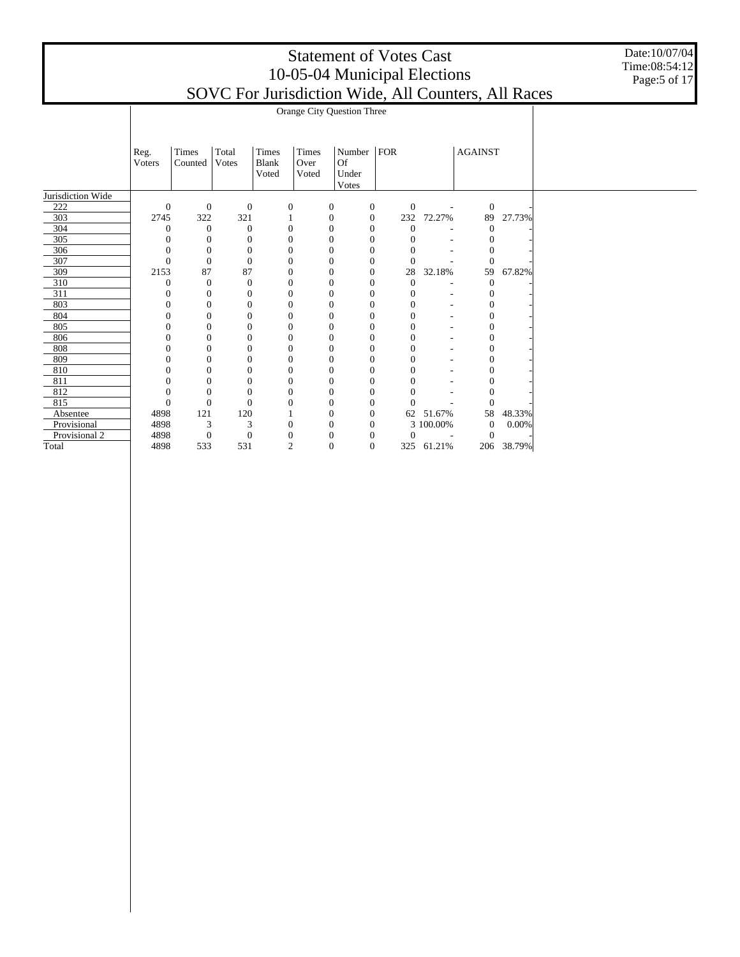Date:10/07/04 Time:08:54:12 Page:5 of 17

|                |                                                                                                                                                                                                                                                                                                                                       |                                                                                                                                                                                                                                                                                              |                                                                                                                                                                                                                                                                                                                                      |                                                                                                                                                                                                                                                                                                                                                       |                                                                                                                                  |                                                                                                                                                                                                                                                                                                                                                                                                |                                                                                                              |                         | 27.73%                                                                                                                               |  |  |  |  |
|----------------|---------------------------------------------------------------------------------------------------------------------------------------------------------------------------------------------------------------------------------------------------------------------------------------------------------------------------------------|----------------------------------------------------------------------------------------------------------------------------------------------------------------------------------------------------------------------------------------------------------------------------------------------|--------------------------------------------------------------------------------------------------------------------------------------------------------------------------------------------------------------------------------------------------------------------------------------------------------------------------------------|-------------------------------------------------------------------------------------------------------------------------------------------------------------------------------------------------------------------------------------------------------------------------------------------------------------------------------------------------------|----------------------------------------------------------------------------------------------------------------------------------|------------------------------------------------------------------------------------------------------------------------------------------------------------------------------------------------------------------------------------------------------------------------------------------------------------------------------------------------------------------------------------------------|--------------------------------------------------------------------------------------------------------------|-------------------------|--------------------------------------------------------------------------------------------------------------------------------------|--|--|--|--|
|                |                                                                                                                                                                                                                                                                                                                                       |                                                                                                                                                                                                                                                                                              |                                                                                                                                                                                                                                                                                                                                      |                                                                                                                                                                                                                                                                                                                                                       |                                                                                                                                  |                                                                                                                                                                                                                                                                                                                                                                                                |                                                                                                              |                         |                                                                                                                                      |  |  |  |  |
|                |                                                                                                                                                                                                                                                                                                                                       |                                                                                                                                                                                                                                                                                              |                                                                                                                                                                                                                                                                                                                                      |                                                                                                                                                                                                                                                                                                                                                       |                                                                                                                                  |                                                                                                                                                                                                                                                                                                                                                                                                |                                                                                                              |                         |                                                                                                                                      |  |  |  |  |
|                |                                                                                                                                                                                                                                                                                                                                       |                                                                                                                                                                                                                                                                                              |                                                                                                                                                                                                                                                                                                                                      |                                                                                                                                                                                                                                                                                                                                                       |                                                                                                                                  |                                                                                                                                                                                                                                                                                                                                                                                                |                                                                                                              |                         |                                                                                                                                      |  |  |  |  |
|                |                                                                                                                                                                                                                                                                                                                                       |                                                                                                                                                                                                                                                                                              |                                                                                                                                                                                                                                                                                                                                      |                                                                                                                                                                                                                                                                                                                                                       |                                                                                                                                  |                                                                                                                                                                                                                                                                                                                                                                                                |                                                                                                              | $\Omega$                |                                                                                                                                      |  |  |  |  |
|                |                                                                                                                                                                                                                                                                                                                                       |                                                                                                                                                                                                                                                                                              |                                                                                                                                                                                                                                                                                                                                      | $\overline{0}$                                                                                                                                                                                                                                                                                                                                        |                                                                                                                                  |                                                                                                                                                                                                                                                                                                                                                                                                |                                                                                                              |                         | 67.82%                                                                                                                               |  |  |  |  |
|                |                                                                                                                                                                                                                                                                                                                                       |                                                                                                                                                                                                                                                                                              |                                                                                                                                                                                                                                                                                                                                      | $\overline{0}$                                                                                                                                                                                                                                                                                                                                        |                                                                                                                                  | $\boldsymbol{0}$                                                                                                                                                                                                                                                                                                                                                                               |                                                                                                              | $\mathbf{0}$            |                                                                                                                                      |  |  |  |  |
|                |                                                                                                                                                                                                                                                                                                                                       |                                                                                                                                                                                                                                                                                              |                                                                                                                                                                                                                                                                                                                                      | $\overline{0}$                                                                                                                                                                                                                                                                                                                                        |                                                                                                                                  | 0                                                                                                                                                                                                                                                                                                                                                                                              | ٠                                                                                                            | $\Omega$                |                                                                                                                                      |  |  |  |  |
|                |                                                                                                                                                                                                                                                                                                                                       |                                                                                                                                                                                                                                                                                              |                                                                                                                                                                                                                                                                                                                                      | $\overline{0}$                                                                                                                                                                                                                                                                                                                                        |                                                                                                                                  | 0                                                                                                                                                                                                                                                                                                                                                                                              | ٠                                                                                                            | 0                       |                                                                                                                                      |  |  |  |  |
|                |                                                                                                                                                                                                                                                                                                                                       |                                                                                                                                                                                                                                                                                              |                                                                                                                                                                                                                                                                                                                                      | $\overline{0}$                                                                                                                                                                                                                                                                                                                                        |                                                                                                                                  | $\boldsymbol{0}$                                                                                                                                                                                                                                                                                                                                                                               |                                                                                                              | 0                       |                                                                                                                                      |  |  |  |  |
|                |                                                                                                                                                                                                                                                                                                                                       |                                                                                                                                                                                                                                                                                              |                                                                                                                                                                                                                                                                                                                                      | $\theta$                                                                                                                                                                                                                                                                                                                                              |                                                                                                                                  | 0                                                                                                                                                                                                                                                                                                                                                                                              |                                                                                                              | 0                       |                                                                                                                                      |  |  |  |  |
|                |                                                                                                                                                                                                                                                                                                                                       |                                                                                                                                                                                                                                                                                              |                                                                                                                                                                                                                                                                                                                                      | $\overline{0}$                                                                                                                                                                                                                                                                                                                                        |                                                                                                                                  | 0                                                                                                                                                                                                                                                                                                                                                                                              |                                                                                                              | 0                       |                                                                                                                                      |  |  |  |  |
|                |                                                                                                                                                                                                                                                                                                                                       |                                                                                                                                                                                                                                                                                              |                                                                                                                                                                                                                                                                                                                                      | $\overline{0}$                                                                                                                                                                                                                                                                                                                                        |                                                                                                                                  | $\mathbf{0}$                                                                                                                                                                                                                                                                                                                                                                                   |                                                                                                              | $\overline{0}$          |                                                                                                                                      |  |  |  |  |
|                |                                                                                                                                                                                                                                                                                                                                       |                                                                                                                                                                                                                                                                                              |                                                                                                                                                                                                                                                                                                                                      | $\overline{0}$                                                                                                                                                                                                                                                                                                                                        |                                                                                                                                  | 0                                                                                                                                                                                                                                                                                                                                                                                              |                                                                                                              | 0                       |                                                                                                                                      |  |  |  |  |
|                |                                                                                                                                                                                                                                                                                                                                       |                                                                                                                                                                                                                                                                                              |                                                                                                                                                                                                                                                                                                                                      | $\overline{0}$                                                                                                                                                                                                                                                                                                                                        |                                                                                                                                  | 0                                                                                                                                                                                                                                                                                                                                                                                              |                                                                                                              | 0                       |                                                                                                                                      |  |  |  |  |
|                |                                                                                                                                                                                                                                                                                                                                       |                                                                                                                                                                                                                                                                                              |                                                                                                                                                                                                                                                                                                                                      | $\overline{0}$                                                                                                                                                                                                                                                                                                                                        |                                                                                                                                  | $\overline{0}$                                                                                                                                                                                                                                                                                                                                                                                 |                                                                                                              | 0                       |                                                                                                                                      |  |  |  |  |
|                |                                                                                                                                                                                                                                                                                                                                       |                                                                                                                                                                                                                                                                                              |                                                                                                                                                                                                                                                                                                                                      | $\overline{0}$                                                                                                                                                                                                                                                                                                                                        |                                                                                                                                  | 0                                                                                                                                                                                                                                                                                                                                                                                              |                                                                                                              | 0                       |                                                                                                                                      |  |  |  |  |
|                |                                                                                                                                                                                                                                                                                                                                       |                                                                                                                                                                                                                                                                                              |                                                                                                                                                                                                                                                                                                                                      | $\overline{0}$                                                                                                                                                                                                                                                                                                                                        |                                                                                                                                  | $\Omega$                                                                                                                                                                                                                                                                                                                                                                                       |                                                                                                              | $\Omega$                |                                                                                                                                      |  |  |  |  |
|                |                                                                                                                                                                                                                                                                                                                                       |                                                                                                                                                                                                                                                                                              |                                                                                                                                                                                                                                                                                                                                      | $\mathbf{0}$                                                                                                                                                                                                                                                                                                                                          |                                                                                                                                  |                                                                                                                                                                                                                                                                                                                                                                                                |                                                                                                              | 58                      | 48.33%                                                                                                                               |  |  |  |  |
|                |                                                                                                                                                                                                                                                                                                                                       |                                                                                                                                                                                                                                                                                              |                                                                                                                                                                                                                                                                                                                                      | $\overline{0}$                                                                                                                                                                                                                                                                                                                                        |                                                                                                                                  |                                                                                                                                                                                                                                                                                                                                                                                                |                                                                                                              | $\theta$                | 0.00%                                                                                                                                |  |  |  |  |
|                |                                                                                                                                                                                                                                                                                                                                       |                                                                                                                                                                                                                                                                                              |                                                                                                                                                                                                                                                                                                                                      | $\overline{0}$                                                                                                                                                                                                                                                                                                                                        |                                                                                                                                  | $\theta$                                                                                                                                                                                                                                                                                                                                                                                       |                                                                                                              | $\theta$                |                                                                                                                                      |  |  |  |  |
|                |                                                                                                                                                                                                                                                                                                                                       |                                                                                                                                                                                                                                                                                              |                                                                                                                                                                                                                                                                                                                                      | $\overline{0}$                                                                                                                                                                                                                                                                                                                                        |                                                                                                                                  |                                                                                                                                                                                                                                                                                                                                                                                                |                                                                                                              | 206                     | 38.79%                                                                                                                               |  |  |  |  |
| Reg.<br>Voters | Times<br>Counted<br>$\mathbf{0}$<br>2745<br>$\mathbf{0}$<br>$\mathbf{0}$<br>$\mathbf{0}$<br>$\mathbf{0}$<br>2153<br>87<br>$\mathbf{0}$<br>$\mathbf{0}$<br>$\mathbf{0}$<br>$\overline{0}$<br>$\theta$<br>$\Omega$<br>$\overline{0}$<br>0<br>0<br>$\overline{0}$<br>$\mathbf{0}$<br>$\mathbf{0}$<br>4898<br>121<br>4898<br>4898<br>4898 | Total<br><b>Votes</b><br>$\mathbf{0}$<br>322<br>$\theta$<br>$\theta$<br>$\theta$<br>$\Omega$<br>$\theta$<br>$\theta$<br>$\mathbf{0}$<br>$\mathbf{0}$<br>$\Omega$<br>$\Omega$<br>$\mathbf{0}$<br>$\Omega$<br>$\Omega$<br>$\mathbf{0}$<br>$\Omega$<br>$\Omega$<br>3<br>$\boldsymbol{0}$<br>533 | Times<br><b>Blank</b><br>Voted<br>$\mathbf{0}$<br>321<br>$\theta$<br>$\boldsymbol{0}$<br>$\overline{0}$<br>$\theta$<br>87<br>$\mathbf{0}$<br>$\mathbf{0}$<br>$\theta$<br>$\mathbf{0}$<br>$\mathbf{0}$<br>$\theta$<br>$\mathbf{0}$<br>$\theta$<br>$\theta$<br>$\mathbf{0}$<br>$\theta$<br>$\theta$<br>120<br>3<br>$\mathbf{0}$<br>531 | Times<br>Over<br>Voted<br>$\boldsymbol{0}$<br>1<br>$\boldsymbol{0}$<br>$\mathbf{0}$<br>$\mathbf{0}$<br>$\mathbf{0}$<br>$\Omega$<br>$\mathbf{0}$<br>$\mathbf{0}$<br>$\mathbf{0}$<br>$\overline{0}$<br>$\Omega$<br>$\Omega$<br>$\overline{0}$<br>$\mathbf{0}$<br>$\mathbf{0}$<br>$\overline{0}$<br>$\Omega$<br>0<br>$\mathbf{0}$<br>0<br>$\overline{2}$ | Of<br>Under<br>Votes<br>$\boldsymbol{0}$<br>$\mathbf{0}$<br>$\overline{0}$<br>$\overline{0}$<br>$\overline{0}$<br>$\overline{0}$ | Orange City Question Three<br>Number  <br>$\mathbf{0}$<br>$\mathbf{0}$<br>$\theta$<br>$\theta$<br>$\mathbf{0}$<br>$\mathbf{0}$<br>$\boldsymbol{0}$<br>$\boldsymbol{0}$<br>$\theta$<br>$\mathbf{0}$<br>$\mathbf{0}$<br>$\Omega$<br>$\mathbf{0}$<br>$\mathbf{0}$<br>$\Omega$<br>$\mathbf{0}$<br>$\mathbf{0}$<br>$\mathbf{0}$<br>$\mathbf{0}$<br>$\mathbf{0}$<br>$\theta$<br>$\theta$<br>$\theta$ | ${\rm FOR}$<br>$\mathbf{0}$<br>232<br>$\mathbf{0}$<br>$\boldsymbol{0}$<br>$\boldsymbol{0}$<br>$\theta$<br>28 | 3 100.00%<br>325 61.21% | <b>AGAINST</b><br>$\mathbf{0}$<br>$\overline{\phantom{a}}$<br>72.27%<br>89<br>$\theta$<br>$\Omega$<br>0<br>32.18%<br>59<br>62 51.67% |  |  |  |  |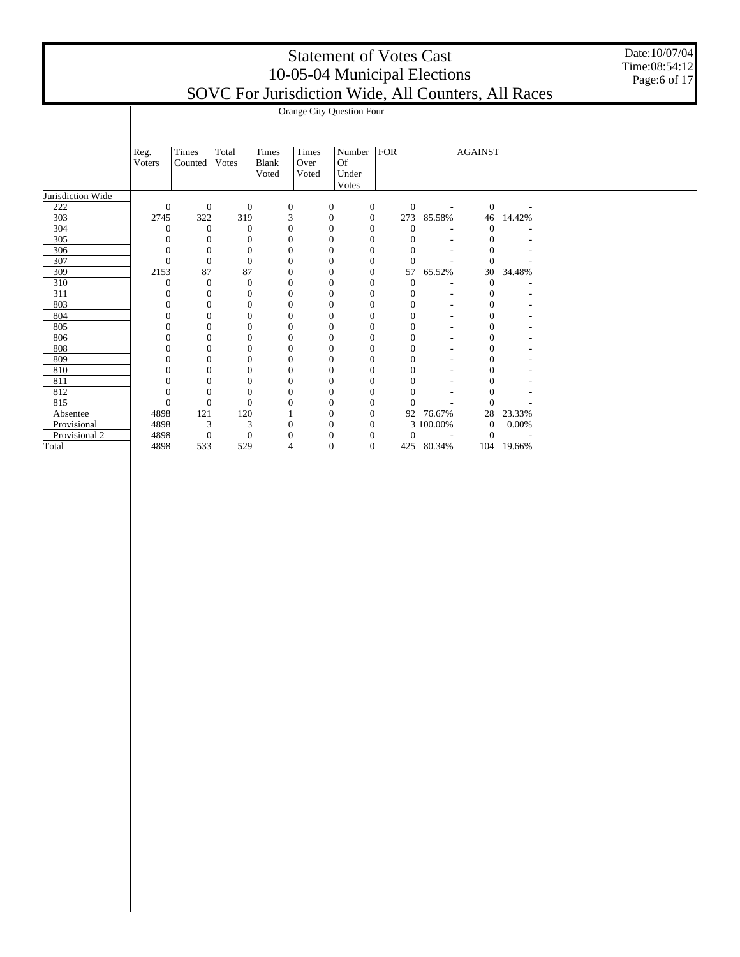Date:10/07/04 Time:08:54:12 Page:6 of 17

|                   |                | Orange City Question Four |                  |              |                  |                  |                  |                  |                          |                |        |  |  |  |  |
|-------------------|----------------|---------------------------|------------------|--------------|------------------|------------------|------------------|------------------|--------------------------|----------------|--------|--|--|--|--|
|                   |                |                           |                  |              |                  |                  |                  |                  |                          |                |        |  |  |  |  |
|                   |                |                           |                  |              |                  |                  |                  |                  |                          |                |        |  |  |  |  |
|                   | Reg.           | Times                     | Total            | Times        | Times            | Number           | ${\rm FOR}$      |                  |                          | <b>AGAINST</b> |        |  |  |  |  |
|                   | Voters         | Counted                   | <b>V</b> otes    | <b>Blank</b> | Over             | Of               |                  |                  |                          |                |        |  |  |  |  |
|                   |                |                           |                  | Voted        | Voted            | Under            |                  |                  |                          |                |        |  |  |  |  |
|                   |                |                           |                  |              |                  | Votes            |                  |                  |                          |                |        |  |  |  |  |
| Jurisdiction Wide |                |                           |                  |              |                  |                  |                  |                  |                          |                |        |  |  |  |  |
| 222               | $\mathbf{0}$   | $\boldsymbol{0}$          | $\boldsymbol{0}$ |              | 0                | 0                | $\mathbf{0}$     | $\mathbf{0}$     | $\overline{\phantom{a}}$ | $\mathbf{0}$   |        |  |  |  |  |
| 303               | 2745           | 322                       | 319              |              | 3                | $\boldsymbol{0}$ | $\mathbf{0}$     | 273              | 85.58%                   | 46             | 14.42% |  |  |  |  |
| 304               | $\theta$       | $\theta$                  | $\overline{0}$   |              | $\boldsymbol{0}$ | $\overline{0}$   | $\mathbf{0}$     | $\mathbf{0}$     |                          | $\overline{0}$ |        |  |  |  |  |
| 305               | $\overline{0}$ | $\theta$                  | $\boldsymbol{0}$ |              | $\boldsymbol{0}$ | $\overline{0}$   | $\mathbf{0}$     | $\theta$         |                          | 0              |        |  |  |  |  |
| 306               | $\mathbf{0}$   | $\boldsymbol{0}$          | $\mathbf{0}$     |              | $\mathbf{0}$     | $\overline{0}$   | $\boldsymbol{0}$ | $\mathbf{0}$     |                          | $\theta$       |        |  |  |  |  |
| 307               | $\overline{0}$ | $\mathbf{0}$              | $\mathbf{0}$     |              | $\mathbf{0}$     | $\overline{0}$   | $\mathbf{0}$     | $\mathbf{0}$     |                          | $\theta$       |        |  |  |  |  |
| 309               | 2153           | 87                        | 87               |              | $\mathbf{0}$     | $\overline{0}$   | $\boldsymbol{0}$ | 57               | 65.52%                   | 30             | 34.48% |  |  |  |  |
| 310               | $\overline{0}$ | $\boldsymbol{0}$          | $\mathbf{0}$     |              | $\boldsymbol{0}$ | $\overline{0}$   | $\boldsymbol{0}$ | $\mathbf{0}$     |                          | $\theta$       |        |  |  |  |  |
| 311               | $\theta$       | $\Omega$                  | $\mathbf{0}$     |              | $\boldsymbol{0}$ | $\theta$         | $\mathbf{0}$     | $\mathbf{0}$     | $\overline{\phantom{a}}$ | $\Omega$       |        |  |  |  |  |
| 803               | $\theta$       | $\mathbf{0}$              | $\boldsymbol{0}$ |              | $\boldsymbol{0}$ | $\overline{0}$   | $\theta$         | $\boldsymbol{0}$ | $\overline{\phantom{a}}$ | $\mathbf{0}$   |        |  |  |  |  |
| 804               | $\overline{0}$ | $\mathbf{0}$              | $\mathbf{0}$     |              | $\overline{0}$   | $\overline{0}$   | $\boldsymbol{0}$ | $\overline{0}$   | ۰                        | $\theta$       |        |  |  |  |  |
| 805               | $\theta$       | $\Omega$                  | $\mathbf{0}$     |              | $\mathbf{0}$     | $\theta$         | $\mathbf{0}$     | $\mathbf{0}$     | ۰                        | $\Omega$       |        |  |  |  |  |
| 806               | 0              | $\Omega$                  | $\theta$         |              | $\mathbf{0}$     | $\theta$         | $\mathbf{0}$     | $\mathbf{0}$     |                          | $\Omega$       |        |  |  |  |  |
| 808               | $\overline{0}$ | $\mathbf{0}$              | $\overline{0}$   |              | $\overline{0}$   | $\overline{0}$   | $\mathbf{0}$     | $\overline{0}$   |                          | 0              |        |  |  |  |  |
| 809               | $\theta$       | $\Omega$                  | $\theta$         |              | $\mathbf{0}$     | $\theta$         | $\Omega$         | $\mathbf{0}$     |                          | $\Omega$       |        |  |  |  |  |
| 810               | $\overline{0}$ | $\mathbf{0}$              | $\theta$         |              | $\boldsymbol{0}$ | $\overline{0}$   | $\mathbf{0}$     | $\mathbf{0}$     |                          | $\theta$       |        |  |  |  |  |
| 811               | $\mathbf{0}$   | $\mathbf{0}$              | $\mathbf{0}$     |              | $\mathbf{0}$     | $\overline{0}$   | $\boldsymbol{0}$ | $\overline{0}$   |                          | 0              |        |  |  |  |  |
| 812               | $\theta$       | $\Omega$                  | $\theta$         |              | $\Omega$         | $\theta$         | $\Omega$         | $\theta$         |                          | 0              |        |  |  |  |  |
| 815               | $\overline{0}$ | $\mathbf{0}$              | $\theta$         |              | $\Omega$         | $\overline{0}$   | $\mathbf{0}$     | $\Omega$         |                          | $\Omega$       |        |  |  |  |  |
| Absentee          | 4898           | 121                       | 120              |              |                  | 0                | $\boldsymbol{0}$ | 92               | 76.67%                   | 28             | 23.33% |  |  |  |  |
| Provisional       | 4898           | 3                         | 3                |              | $\mathbf{0}$     | $\theta$         | $\mathbf{0}$     |                  | 3 100.00%                | $\theta$       | 0.00%  |  |  |  |  |
| Provisional 2     | 4898           | $\boldsymbol{0}$          | $\mathbf{0}$     |              | $\theta$         | $\theta$         | $\mathbf{0}$     | $\mathbf{0}$     | $\overline{\phantom{a}}$ | $\theta$       |        |  |  |  |  |
| Total             | 4898           | 533                       | 529              |              | 4                | $\overline{0}$   | $\mathbf{0}$     |                  | 425 80.34%               | 104            | 19.66% |  |  |  |  |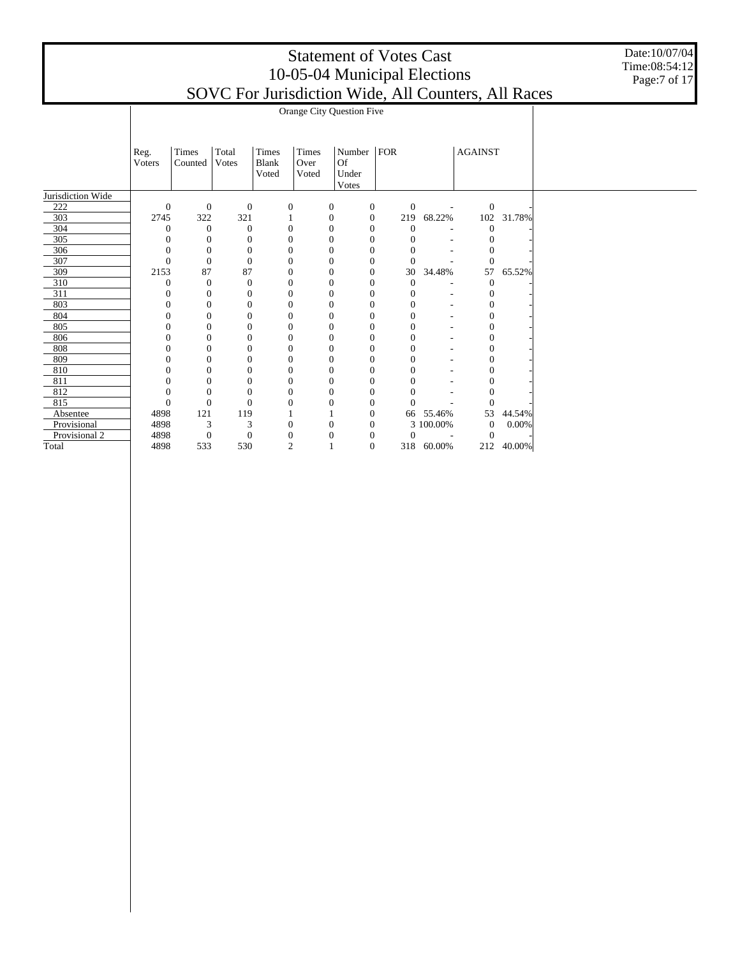Date:10/07/04 Time:08:54:12 Page:7 of 17

|                   |                  | Orange City Question Five |                       |                                |                        |                       |                  |                  |                          |                |        |  |  |  |
|-------------------|------------------|---------------------------|-----------------------|--------------------------------|------------------------|-----------------------|------------------|------------------|--------------------------|----------------|--------|--|--|--|
|                   |                  |                           |                       |                                |                        |                       |                  |                  |                          |                |        |  |  |  |
|                   |                  |                           |                       |                                |                        |                       |                  |                  |                          |                |        |  |  |  |
|                   | Reg.<br>Voters   | Times<br>Counted          | Total<br><b>Votes</b> | Times<br><b>Blank</b><br>Voted | Times<br>Over<br>Voted | Number<br>Of<br>Under | FOR              |                  |                          | <b>AGAINST</b> |        |  |  |  |
|                   |                  |                           |                       |                                |                        | <b>V</b> otes         |                  |                  |                          |                |        |  |  |  |
| Jurisdiction Wide |                  |                           |                       |                                |                        |                       |                  |                  |                          |                |        |  |  |  |
| 222               | $\mathbf{0}$     | $\boldsymbol{0}$          | $\boldsymbol{0}$      |                                | $\boldsymbol{0}$       | 0                     | $\boldsymbol{0}$ | $\mathbf{0}$     | $\overline{\phantom{a}}$ | $\mathbf{0}$   |        |  |  |  |
| 303               | 2745             | 322                       | 321                   |                                |                        | $\boldsymbol{0}$      | $\mathbf{0}$     | 219              | 68.22%                   | 102            | 31.78% |  |  |  |
| 304               | $\theta$         | $\mathbf{0}$              | $\theta$              |                                | $\mathbf{0}$           | $\Omega$              | $\overline{0}$   | $\mathbf{0}$     |                          | $\Omega$       |        |  |  |  |
| 305               | $\theta$         | $\mathbf{0}$              | $\boldsymbol{0}$      |                                | $\boldsymbol{0}$       | $\Omega$              | $\mathbf{0}$     | $\boldsymbol{0}$ |                          | $\Omega$       |        |  |  |  |
| 306               | $\boldsymbol{0}$ | $\boldsymbol{0}$          | $\boldsymbol{0}$      |                                | $\boldsymbol{0}$       | $\overline{0}$        | $\boldsymbol{0}$ | $\overline{0}$   |                          | 0              |        |  |  |  |
| 307               | $\overline{0}$   | $\mathbf{0}$              | $\overline{0}$        |                                | $\boldsymbol{0}$       | $\Omega$              | $\overline{0}$   | $\mathbf{0}$     |                          | $\Omega$       |        |  |  |  |
| 309               | 2153             | 87                        | 87                    |                                | $\boldsymbol{0}$       | $\Omega$              | $\mathbf{0}$     | 30               | 34.48%                   | 57             | 65.52% |  |  |  |
| 310               | $\overline{0}$   | $\boldsymbol{0}$          | $\boldsymbol{0}$      |                                | $\boldsymbol{0}$       | $\overline{0}$        | $\boldsymbol{0}$ | $\theta$         |                          | $\overline{0}$ |        |  |  |  |
| 311               | $\mathbf{0}$     | $\Omega$                  | $\mathbf{0}$          |                                | $\boldsymbol{0}$       | $\Omega$              | $\mathbf{0}$     | $\boldsymbol{0}$ | ٠                        | 0              |        |  |  |  |
| 803               | $\mathbf{0}$     | $\mathbf{0}$              | $\mathbf{0}$          |                                | $\boldsymbol{0}$       | $\Omega$              | $\theta$         | $\theta$         | ۰                        | 0              |        |  |  |  |
| 804               | $\mathbf{0}$     | $\Omega$                  | $\mathbf{0}$          |                                | $\boldsymbol{0}$       | $\theta$              | $\boldsymbol{0}$ | $\overline{0}$   | ٠                        | $\theta$       |        |  |  |  |
| 805               | 0                | $\Omega$                  | $\overline{0}$        |                                | $\boldsymbol{0}$       | $\theta$              | $\theta$         | 0                | ٠                        | $\theta$       |        |  |  |  |
| 806               | 0                | $\mathbf{0}$              | $\overline{0}$        |                                | $\boldsymbol{0}$       | $\theta$              | $\theta$         | $\boldsymbol{0}$ |                          | 0              |        |  |  |  |
| 808               | 0                | $\mathbf{0}$              | $\overline{0}$        |                                | $\boldsymbol{0}$       | $\theta$              | $\theta$         | $\boldsymbol{0}$ |                          | $\overline{0}$ |        |  |  |  |
| 809               | 0                | $\mathbf{0}$              | $\mathbf{0}$          |                                | $\boldsymbol{0}$       | $\theta$              | $\theta$         | $\overline{0}$   |                          | $\overline{0}$ |        |  |  |  |
| 810               | $\mathbf{0}$     | $\mathbf{0}$              | $\overline{0}$        |                                | $\boldsymbol{0}$       | $\mathbf{0}$          | $\mathbf{0}$     | $\boldsymbol{0}$ |                          | 0              |        |  |  |  |
| 811               | $\mathbf{0}$     | $\mathbf{0}$              | $\boldsymbol{0}$      |                                | $\boldsymbol{0}$       | $\theta$              | $\boldsymbol{0}$ | $\boldsymbol{0}$ |                          | 0              |        |  |  |  |
| 812               | $\overline{0}$   | $\mathbf{0}$              | $\mathbf{0}$          |                                | $\boldsymbol{0}$       | $\theta$              | $\mathbf{0}$     | $\overline{0}$   |                          | $\overline{0}$ |        |  |  |  |
| 815               | $\mathbf{0}$     | $\mathbf{0}$              | $\overline{0}$        |                                | $\boldsymbol{0}$       | $\theta$              | $\mathbf{0}$     | $\theta$         |                          | $\Omega$       |        |  |  |  |
| Absentee          | 4898             | 121                       | 119                   |                                |                        |                       | $\theta$         | 66               | 55.46%                   | 53             | 44.54% |  |  |  |
| Provisional       | 4898             | 3                         | 3                     |                                | $\boldsymbol{0}$       | $\overline{0}$        | $\boldsymbol{0}$ |                  | $3\,$ $100.00\%$         | $\mathbf{0}$   | 0.00%  |  |  |  |
| Provisional 2     | 4898             | $\theta$                  | $\boldsymbol{0}$      |                                | $\boldsymbol{0}$       | $\theta$              | $\overline{0}$   | $\overline{0}$   | $\overline{\phantom{a}}$ | $\mathbf{0}$   |        |  |  |  |
| Total             | 4898             | 533                       | 530                   |                                | $\overline{c}$         |                       | $\overline{0}$   |                  | 318 60.00%               | 212            | 40.00% |  |  |  |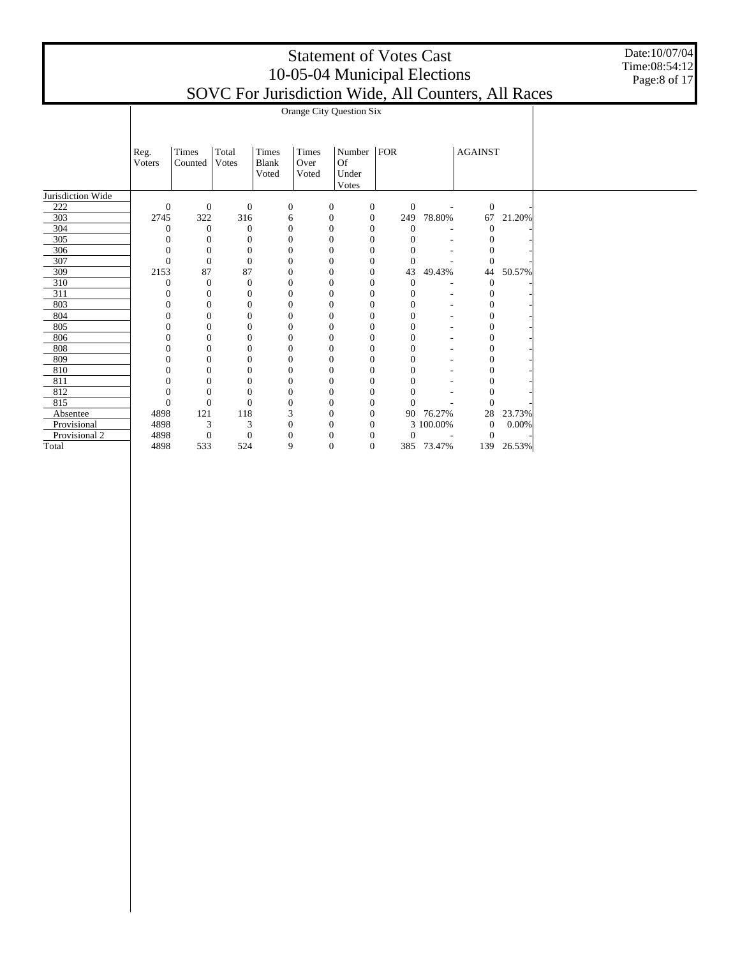Date:10/07/04 Time:08:54:12 Page:8 of 17

|                   |                | Orange City Question Six |                  |              |                  |                  |                  |                  |                |                |        |  |  |  |  |
|-------------------|----------------|--------------------------|------------------|--------------|------------------|------------------|------------------|------------------|----------------|----------------|--------|--|--|--|--|
|                   |                |                          |                  |              |                  |                  |                  |                  |                |                |        |  |  |  |  |
|                   |                |                          |                  |              |                  |                  |                  |                  |                |                |        |  |  |  |  |
|                   | Reg.           | Times                    | Total            | Times        | Times            | Number           | ${\rm FOR}$      |                  |                | <b>AGAINST</b> |        |  |  |  |  |
|                   | Voters         | Counted                  | Votes            | <b>Blank</b> | Over             | <b>Of</b>        |                  |                  |                |                |        |  |  |  |  |
|                   |                |                          |                  | Voted        | Voted            | Under            |                  |                  |                |                |        |  |  |  |  |
|                   |                |                          |                  |              |                  | Votes            |                  |                  |                |                |        |  |  |  |  |
| Jurisdiction Wide |                |                          |                  |              |                  |                  |                  |                  |                |                |        |  |  |  |  |
| 222               | $\mathbf{0}$   | $\mathbf{0}$             | $\boldsymbol{0}$ |              | $\boldsymbol{0}$ | $\boldsymbol{0}$ | $\mathbf{0}$     | $\boldsymbol{0}$ | $\overline{a}$ | $\mathbf{0}$   |        |  |  |  |  |
| 303               | 2745           | 322                      | 316              |              | 6                | $\mathbf{0}$     | $\mathbf{0}$     | 249              | 78.80%         | 67             | 21.20% |  |  |  |  |
| 304               | $\theta$       | $\theta$                 | $\theta$         |              | $\boldsymbol{0}$ | $\overline{0}$   | $\mathbf{0}$     | $\theta$         |                | $\Omega$       |        |  |  |  |  |
| 305               | $\theta$       | $\boldsymbol{0}$         | $\boldsymbol{0}$ |              | $\boldsymbol{0}$ | $\overline{0}$   | $\boldsymbol{0}$ | $\mathbf{0}$     |                | $\Omega$       |        |  |  |  |  |
| 306               | $\mathbf{0}$   | $\boldsymbol{0}$         | $\mathbf{0}$     |              | $\mathbf{0}$     | $\overline{0}$   | $\mathbf{0}$     | $\mathbf{0}$     |                | 0              |        |  |  |  |  |
| 307               | $\Omega$       | $\mathbf{0}$             | $\overline{0}$   |              | $\mathbf{0}$     | $\overline{0}$   | $\mathbf{0}$     | $\theta$         |                | $\Omega$       |        |  |  |  |  |
| 309               | 2153           | 87                       | 87               |              | $\mathbf{0}$     | $\overline{0}$   | $\mathbf{0}$     | 43               | 49.43%         | 44             | 50.57% |  |  |  |  |
| 310               | $\theta$       | $\boldsymbol{0}$         | $\boldsymbol{0}$ |              | $\mathbf{0}$     | $\overline{0}$   | $\boldsymbol{0}$ | $\mathbf{0}$     |                | $\mathbf{0}$   |        |  |  |  |  |
| 311               | $\theta$       | $\mathbf{0}$             | $\mathbf{0}$     |              | $\boldsymbol{0}$ | $\overline{0}$   | $\mathbf{0}$     | $\mathbf{0}$     | ٠              | $\Omega$       |        |  |  |  |  |
| 803               | $\mathbf{0}$   | $\mathbf{0}$             | $\mathbf{0}$     |              | $\mathbf{0}$     | $\overline{0}$   | $\mathbf{0}$     | $\mathbf{0}$     | ۰              | 0              |        |  |  |  |  |
| 804               | $\mathbf{0}$   | $\mathbf{0}$             | $\mathbf{0}$     |              | $\overline{0}$   | $\overline{0}$   | $\boldsymbol{0}$ | $\overline{0}$   | ۰              | $\overline{0}$ |        |  |  |  |  |
| 805               | $\theta$       | $\Omega$                 | $\mathbf{0}$     |              | $\Omega$         | $\theta$         | $\mathbf{0}$     | $\Omega$         | ٠              | 0              |        |  |  |  |  |
| 806               | $\theta$       | $\overline{0}$           | $\boldsymbol{0}$ |              | $\mathbf{0}$     | $\overline{0}$   | $\boldsymbol{0}$ | $\mathbf{0}$     |                | 0              |        |  |  |  |  |
| 808               | $\overline{0}$ | $\boldsymbol{0}$         | $\mathbf{0}$     |              | $\overline{0}$   | $\overline{0}$   | $\boldsymbol{0}$ | $\mathbf{0}$     |                | $\overline{0}$ |        |  |  |  |  |
| 809               | $\mathbf{0}$   | $\mathbf{0}$             | $\overline{0}$   |              | $\mathbf{0}$     | $\overline{0}$   | $\mathbf{0}$     | $\mathbf{0}$     |                | $\theta$       |        |  |  |  |  |
| 810               | $\mathbf{0}$   | $\overline{0}$           | $\mathbf{0}$     |              | $\mathbf{0}$     | $\overline{0}$   | $\theta$         | $\mathbf{0}$     |                | $\theta$       |        |  |  |  |  |
| 811               | $\overline{0}$ | $\overline{0}$           | $\mathbf{0}$     |              | $\overline{0}$   | $\overline{0}$   | $\boldsymbol{0}$ | $\overline{0}$   |                | $\overline{0}$ |        |  |  |  |  |
| 812               | $\theta$       | $\mathbf{0}$             | $\mathbf{0}$     |              | $\mathbf{0}$     | $\overline{0}$   | $\mathbf{0}$     | $\theta$         |                | $\Omega$       |        |  |  |  |  |
| 815               | $\mathbf{0}$   | $\overline{0}$           | $\Omega$         |              | $\Omega$         | $\overline{0}$   | $\boldsymbol{0}$ | $\Omega$         |                | $\Omega$       |        |  |  |  |  |
| Absentee          | 4898           | 121                      | 118              |              | 3                | $\mathbf{0}$     | $\boldsymbol{0}$ | 90               | 76.27%         | 28             | 23.73% |  |  |  |  |
| Provisional       | 4898           | 3                        | 3                |              | $\mathbf{0}$     | $\theta$         | $\mathbf{0}$     |                  | 3 100.00%      | $\mathbf{0}$   | 0.00%  |  |  |  |  |
| Provisional 2     | 4898           | $\boldsymbol{0}$         | $\boldsymbol{0}$ |              | $\mathbf{0}$     | $\overline{0}$   | $\theta$         | $\mathbf{0}$     |                | $\theta$       |        |  |  |  |  |
| Total             | 4898           | 533                      | 524              |              | 9                | $\overline{0}$   | $\mathbf{0}$     |                  | 385 73.47%     | 139            | 26.53% |  |  |  |  |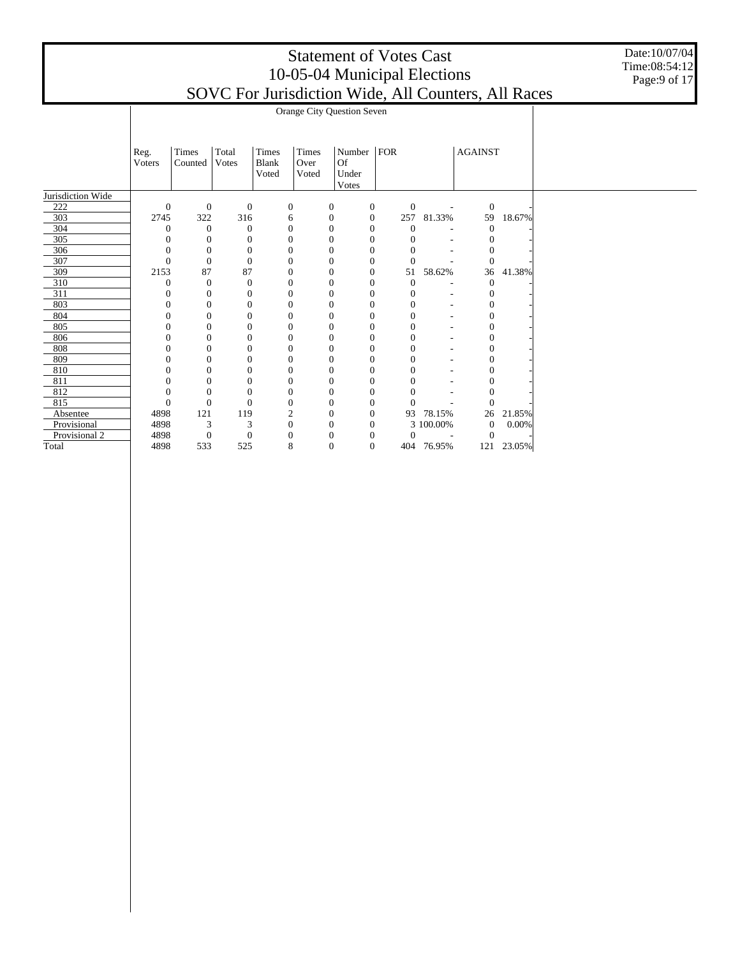Date:10/07/04 Time:08:54:12 Page:9 of 17

|                   |                | Orange City Question Seven |                  |              |                  |                  |                  |                  |                          |                |        |  |  |  |  |
|-------------------|----------------|----------------------------|------------------|--------------|------------------|------------------|------------------|------------------|--------------------------|----------------|--------|--|--|--|--|
|                   |                |                            |                  |              |                  |                  |                  |                  |                          |                |        |  |  |  |  |
|                   |                |                            |                  |              |                  |                  |                  |                  |                          |                |        |  |  |  |  |
|                   |                | Times                      | Total            | Times        | Times            | Number           | FOR              |                  |                          | <b>AGAINST</b> |        |  |  |  |  |
|                   | Reg.<br>Voters | Counted                    | Votes            | <b>Blank</b> | Over             | <b>Of</b>        |                  |                  |                          |                |        |  |  |  |  |
|                   |                |                            |                  | Voted        | Voted            | Under            |                  |                  |                          |                |        |  |  |  |  |
|                   |                |                            |                  |              |                  | Votes            |                  |                  |                          |                |        |  |  |  |  |
| Jurisdiction Wide |                |                            |                  |              |                  |                  |                  |                  |                          |                |        |  |  |  |  |
| 222               | $\mathbf{0}$   | $\mathbf{0}$               | $\boldsymbol{0}$ |              | $\boldsymbol{0}$ | $\boldsymbol{0}$ | $\mathbf{0}$     | $\mathbf{0}$     | $\overline{\phantom{a}}$ | $\mathbf{0}$   |        |  |  |  |  |
| 303               | 2745           | 322                        | 316              |              | 6                | $\mathbf{0}$     | $\boldsymbol{0}$ | 257              | 81.33%                   | 59             | 18.67% |  |  |  |  |
| 304               | $\theta$       | $\theta$                   | $\overline{0}$   |              | $\boldsymbol{0}$ | $\overline{0}$   | $\mathbf{0}$     | $\mathbf{0}$     |                          | $\theta$       |        |  |  |  |  |
| 305               | $\overline{0}$ | $\theta$                   | $\boldsymbol{0}$ |              | $\boldsymbol{0}$ | $\overline{0}$   | $\boldsymbol{0}$ | $\mathbf{0}$     |                          | $\Omega$       |        |  |  |  |  |
| 306               | $\theta$       | $\theta$                   | $\overline{0}$   |              | $\boldsymbol{0}$ | $\overline{0}$   | $\mathbf{0}$     | $\mathbf{0}$     |                          | 0              |        |  |  |  |  |
| 307               | $\overline{0}$ | $\Omega$                   | $\overline{0}$   |              | $\boldsymbol{0}$ | $\theta$         | $\mathbf{0}$     | $\mathbf{0}$     |                          | $\Omega$       |        |  |  |  |  |
| 309               | 2153           | 87                         | 87               |              | $\mathbf{0}$     | $\overline{0}$   | $\mathbf{0}$     | 51               | 58.62%                   | 36             | 41.38% |  |  |  |  |
| 310               | $\overline{0}$ | $\theta$                   | $\mathbf{0}$     |              | $\boldsymbol{0}$ | $\overline{0}$   | $\boldsymbol{0}$ | $\boldsymbol{0}$ |                          | $\theta$       |        |  |  |  |  |
| 311               | $\theta$       | $\theta$                   | $\mathbf{0}$     |              | $\boldsymbol{0}$ | $\overline{0}$   | $\mathbf{0}$     | $\mathbf{0}$     | $\overline{\phantom{a}}$ | $\mathbf{0}$   |        |  |  |  |  |
| 803               | $\theta$       | $\mathbf{0}$               | $\boldsymbol{0}$ |              | $\mathbf{0}$     | $\overline{0}$   | $\mathbf{0}$     | $\mathbf{0}$     | $\overline{a}$           | $\theta$       |        |  |  |  |  |
| 804               | $\overline{0}$ | $\mathbf{0}$               | $\mathbf{0}$     |              | $\mathbf{0}$     | $\overline{0}$   | $\boldsymbol{0}$ | $\overline{0}$   | ۰                        | $\theta$       |        |  |  |  |  |
| 805               | $\theta$       | $\Omega$                   | $\mathbf{0}$     |              | $\Omega$         | $\theta$         | $\mathbf{0}$     | $\Omega$         | ۰                        | $\Omega$       |        |  |  |  |  |
| 806               | $\Omega$       | $\Omega$                   | $\theta$         |              | $\mathbf{0}$     | $\theta$         | $\mathbf{0}$     | $\mathbf{0}$     |                          | $\Omega$       |        |  |  |  |  |
| 808               | $\overline{0}$ | $\mathbf{0}$               | $\mathbf{0}$     |              | $\mathbf{0}$     | $\overline{0}$   | $\boldsymbol{0}$ | $\mathbf{0}$     |                          | 0              |        |  |  |  |  |
| 809               | $\Omega$       | $\Omega$                   | $\mathbf{0}$     |              | $\mathbf{0}$     | $\theta$         | $\mathbf{0}$     | $\mathbf{0}$     |                          | $\Omega$       |        |  |  |  |  |
| 810               | $\overline{0}$ | $\Omega$                   | $\theta$         |              | $\mathbf{0}$     | $\overline{0}$   | $\mathbf{0}$     | $\mathbf{0}$     |                          | $\theta$       |        |  |  |  |  |
| 811               | $\overline{0}$ | $\mathbf{0}$               | $\mathbf{0}$     |              | $\mathbf{0}$     | $\overline{0}$   | $\boldsymbol{0}$ | $\overline{0}$   |                          | 0              |        |  |  |  |  |
| 812               | $\overline{0}$ | $\Omega$                   | $\theta$         |              | $\mathbf{0}$     | $\overline{0}$   | $\mathbf{0}$     | $\theta$         |                          |                |        |  |  |  |  |
| 815               | $\overline{0}$ | $\Omega$                   | $\theta$         |              | $\mathbf{0}$     | $\overline{0}$   | $\mathbf{0}$     | $\Omega$         |                          | $\Omega$       |        |  |  |  |  |
| Absentee          | 4898           | 121                        | 119              |              | $\mathbf{2}$     | $\mathbf{0}$     | $\boldsymbol{0}$ | 93               | 78.15%                   | 26             | 21.85% |  |  |  |  |
| Provisional       | 4898           | 3                          | 3                |              | $\mathbf{0}$     | $\theta$         | $\mathbf{0}$     |                  | 3 100.00%                | $\theta$       | 0.00%  |  |  |  |  |
| Provisional 2     | 4898           | $\boldsymbol{0}$           | $\boldsymbol{0}$ |              | $\theta$         | $\theta$         | $\theta$         | $\mathbf{0}$     |                          | $\overline{0}$ |        |  |  |  |  |
| Total             | 4898           | 533                        | 525              |              | 8                | $\overline{0}$   | $\mathbf{0}$     |                  | 404 76.95%               | 121            | 23.05% |  |  |  |  |
|                   |                |                            |                  |              |                  |                  |                  |                  |                          |                |        |  |  |  |  |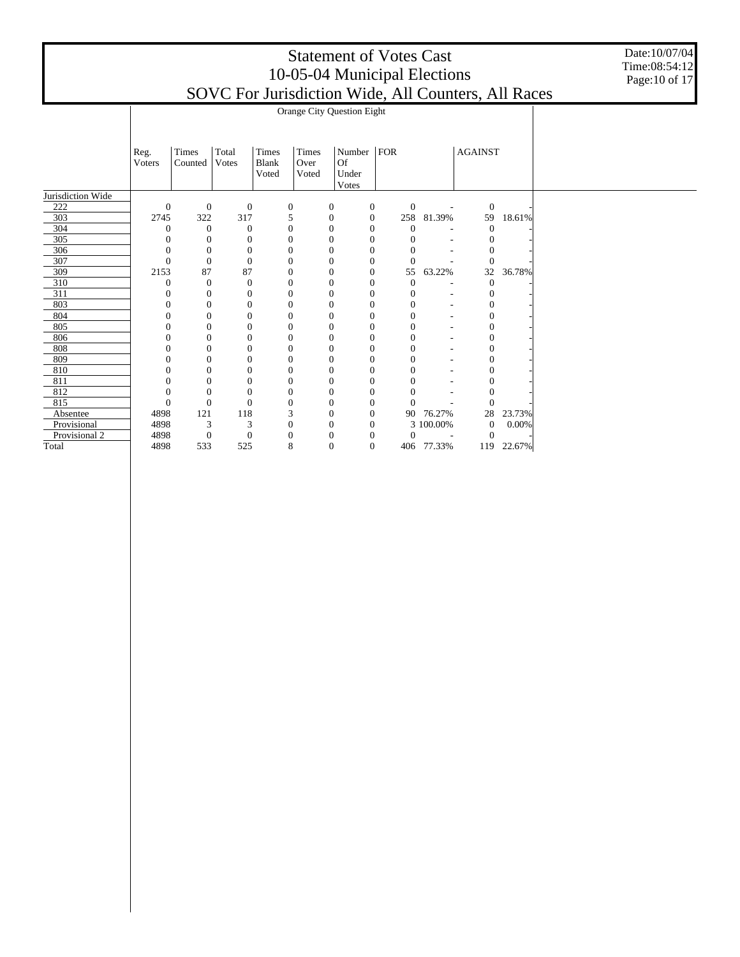Date:10/07/04 Time:08:54:12 Page:10 of 17

|                   |                | Orange City Question Eight |                  |       |                  |                  |                  |                |            |                  |        |  |  |  |  |
|-------------------|----------------|----------------------------|------------------|-------|------------------|------------------|------------------|----------------|------------|------------------|--------|--|--|--|--|
|                   |                |                            |                  |       |                  |                  |                  |                |            |                  |        |  |  |  |  |
|                   |                |                            |                  |       |                  |                  |                  |                |            |                  |        |  |  |  |  |
|                   | Reg.           | Times                      | Total            | Times | Times            | Number   $FOR$   |                  |                |            | <b>AGAINST</b>   |        |  |  |  |  |
|                   | Voters         | Counted                    | <b>Votes</b>     | Blank | Over             | <b>Of</b>        |                  |                |            |                  |        |  |  |  |  |
|                   |                |                            |                  | Voted | Voted            | Under            |                  |                |            |                  |        |  |  |  |  |
|                   |                |                            |                  |       |                  | Votes            |                  |                |            |                  |        |  |  |  |  |
| Jurisdiction Wide |                |                            |                  |       |                  |                  |                  |                |            |                  |        |  |  |  |  |
| 222               | $\mathbf{0}$   | $\mathbf{0}$               | $\mathbf{0}$     |       | $\boldsymbol{0}$ | $\boldsymbol{0}$ | $\boldsymbol{0}$ | $\mathbf{0}$   |            | $\mathbf{0}$     |        |  |  |  |  |
| 303               | 2745           | 322                        | 317              |       | 5                | $\boldsymbol{0}$ | $\mathbf{0}$     | 258            | 81.39%     | 59               | 18.61% |  |  |  |  |
| 304               | $\mathbf{0}$   | $\mathbf{0}$               | $\overline{0}$   |       | $\mathbf{0}$     | $\mathbf{0}$     | $\mathbf{0}$     | $\mathbf{0}$   |            | $\mathbf{0}$     |        |  |  |  |  |
| 305               | $\theta$       | $\theta$                   | $\mathbf{0}$     |       | $\boldsymbol{0}$ | $\mathbf{0}$     | $\boldsymbol{0}$ | 0              |            | $\mathbf{0}$     |        |  |  |  |  |
| 306               | $\mathbf{0}$   | $\boldsymbol{0}$           | $\mathbf{0}$     |       | $\boldsymbol{0}$ | $\mathbf{0}$     | $\mathbf{0}$     | $\theta$       |            | 0                |        |  |  |  |  |
| 307               | $\overline{0}$ | $\Omega$                   | $\Omega$         |       | $\mathbf{0}$     | $\Omega$         | $\mathbf{0}$     | $\theta$       |            | $\Omega$         |        |  |  |  |  |
| 309               | 2153           | 87                         | 87               |       | $\boldsymbol{0}$ | $\mathbf{0}$     | $\mathbf{0}$     | 55             | 63.22%     | 32               | 36.78% |  |  |  |  |
| 310               | $\theta$       | $\overline{0}$             | $\overline{0}$   |       | $\mathbf{0}$     | $\mathbf{0}$     | $\mathbf{0}$     | $\mathbf{0}$   |            | $\mathbf{0}$     |        |  |  |  |  |
| 311               | $\theta$       | 0                          | $\Omega$         |       | $\mathbf{0}$     | $\mathbf{0}$     | $\overline{0}$   | 0              |            | $\mathbf{0}$     |        |  |  |  |  |
| 803               | $\mathbf{0}$   | $\overline{0}$             | $\mathbf{0}$     |       | $\mathbf{0}$     | $\Omega$         | $\boldsymbol{0}$ | $\Omega$       |            | $\mathbf{0}$     |        |  |  |  |  |
| 804               | $\overline{0}$ | $\overline{0}$             | $\overline{0}$   |       | $\boldsymbol{0}$ | $\mathbf{0}$     | $\mathbf{0}$     | $\overline{0}$ |            | $\boldsymbol{0}$ |        |  |  |  |  |
| 805               | $\theta$       | $\theta$                   | $\Omega$         |       | $\mathbf{0}$     | $\Omega$         | $\overline{0}$   | $\Omega$       |            | 0                |        |  |  |  |  |
| 806               | 0              | $\theta$                   | 0                |       | $\mathbf{0}$     | $\mathbf{0}$     | $\theta$         | $\Omega$       |            | $\mathbf{0}$     |        |  |  |  |  |
| 808               | $\overline{0}$ | $\overline{0}$             | 0                |       | $\mathbf{0}$     | $\mathbf{0}$     | $\mathbf{0}$     | $\overline{0}$ |            | $\overline{0}$   |        |  |  |  |  |
| 809               | $\Omega$       | $\Omega$                   | $\Omega$         |       | $\mathbf{0}$     | $\Omega$         | $\overline{0}$   | $\Omega$       |            | $\mathbf{0}$     |        |  |  |  |  |
| 810               | $\overline{0}$ | $\theta$                   | $\Omega$         |       | $\boldsymbol{0}$ | $\Omega$         | $\mathbf{0}$     | $\Omega$       |            | 0                |        |  |  |  |  |
| 811               | $\overline{0}$ | $\overline{0}$             | $\overline{0}$   |       | $\mathbf{0}$     | $\mathbf{0}$     | $\mathbf{0}$     | $\overline{0}$ |            | $\overline{0}$   |        |  |  |  |  |
| 812               | $\theta$       | $\Omega$                   | $\Omega$         |       | $\mathbf{0}$     | $\Omega$         | $\overline{0}$   | $\Omega$       |            | 0                |        |  |  |  |  |
| 815               | $\overline{0}$ | $\overline{0}$             | $\Omega$         |       | $\Omega$         | $\mathbf{0}$     | $\boldsymbol{0}$ | $\Omega$       |            | $\Omega$         |        |  |  |  |  |
| Absentee          | 4898           | 121                        | 118              |       | 3                | $\boldsymbol{0}$ | $\mathbf{0}$     | 90             | 76.27%     | 28               | 23.73% |  |  |  |  |
| Provisional       | 4898           | 3                          | 3                |       | $\boldsymbol{0}$ | $\Omega$         | $\overline{0}$   |                | 3 100.00%  | $\mathbf{0}$     | 0.00%  |  |  |  |  |
| Provisional 2     | 4898           | $\mathbf{0}$               | $\boldsymbol{0}$ |       | $\mathbf{0}$     | $\Omega$         | $\boldsymbol{0}$ | $\Omega$       |            | $\overline{0}$   |        |  |  |  |  |
| Total             | 4898           | 533                        | 525              |       | 8                | $\mathbf{0}$     | $\overline{0}$   |                | 406 77.33% | 119              | 22.67% |  |  |  |  |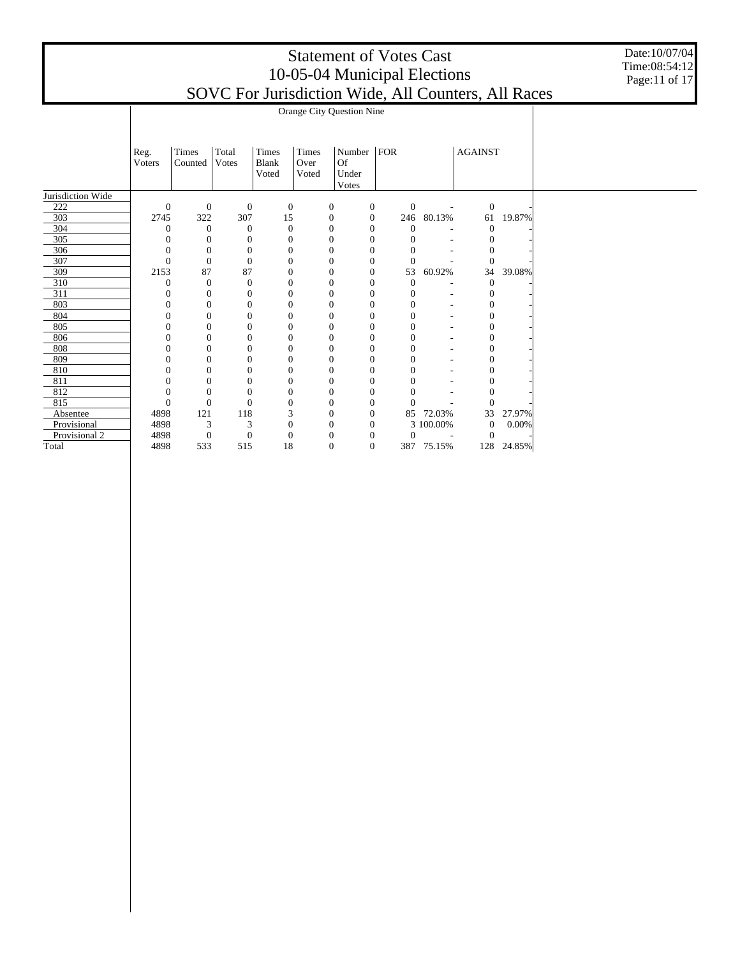Date:10/07/04 Time:08:54:12 Page:11 of 17

|                   |                  | Orange City Question Nine |                       |                                |                        |                                |                  |                  |           |                  |        |  |  |  |  |
|-------------------|------------------|---------------------------|-----------------------|--------------------------------|------------------------|--------------------------------|------------------|------------------|-----------|------------------|--------|--|--|--|--|
|                   | Reg.<br>Voters   | Times<br>Counted          | Total<br><b>Votes</b> | Times<br><b>Blank</b><br>Voted | Times<br>Over<br>Voted | Number<br>Of<br>Under<br>Votes | FOR              |                  |           | <b>AGAINST</b>   |        |  |  |  |  |
| Jurisdiction Wide |                  |                           |                       |                                |                        |                                |                  |                  |           |                  |        |  |  |  |  |
| 222               | $\boldsymbol{0}$ | $\mathbf{0}$              | $\boldsymbol{0}$      |                                | $\boldsymbol{0}$       | 0                              | $\mathbf{0}$     | $\boldsymbol{0}$ |           | $\mathbf{0}$     |        |  |  |  |  |
| 303               | 2745             | 322                       | 307                   | 15                             |                        | $\boldsymbol{0}$               | $\boldsymbol{0}$ | 246              | 80.13%    | 61               | 19.87% |  |  |  |  |
| 304               | $\mathbf{0}$     | $\theta$                  | $\theta$              |                                | $\boldsymbol{0}$       | $\mathbf{0}$                   | $\mathbf{0}$     | $\mathbf{0}$     |           | $\mathbf{0}$     |        |  |  |  |  |
| 305               | $\mathbf{0}$     | $\mathbf{0}$              | $\theta$              |                                | $\boldsymbol{0}$       | $\theta$                       | $\mathbf{0}$     | $\theta$         |           | 0                |        |  |  |  |  |
| 306               | $\mathbf{0}$     | $\mathbf{0}$              | $\mathbf{0}$          |                                | $\boldsymbol{0}$       | $\overline{0}$                 | $\mathbf{0}$     | $\theta$         |           | $\Omega$         |        |  |  |  |  |
| 307               | $\overline{0}$   | $\overline{0}$            | $\overline{0}$        |                                | $\mathbf{0}$           | $\theta$                       | $\Omega$         | $\overline{0}$   |           | $\mathbf{0}$     |        |  |  |  |  |
| 309               | 2153             | 87                        | 87                    |                                | $\boldsymbol{0}$       | $\overline{0}$                 | $\mathbf{0}$     | 53               | 60.92%    | 34               | 39.08% |  |  |  |  |
| 310               | $\mathbf{0}$     | $\mathbf{0}$              | $\mathbf{0}$          |                                | $\boldsymbol{0}$       | $\overline{0}$                 | $\mathbf{0}$     | $\overline{0}$   |           | $\overline{0}$   |        |  |  |  |  |
| 311               | $\mathbf{0}$     | $\mathbf{0}$              | $\overline{0}$        |                                | $\mathbf{0}$           | $\theta$                       | $\Omega$         | 0                |           | $\Omega$         |        |  |  |  |  |
| 803               | $\mathbf{0}$     | $\mathbf{0}$              | $\overline{0}$        |                                | $\boldsymbol{0}$       | $\theta$                       | $\overline{0}$   | $\mathbf{0}$     |           | $\mathbf{0}$     |        |  |  |  |  |
| 804               | $\boldsymbol{0}$ | $\mathbf{0}$              | $\mathbf{0}$          |                                | $\boldsymbol{0}$       | $\mathbf{0}$                   | $\boldsymbol{0}$ | $\overline{0}$   |           | $\mathbf{0}$     |        |  |  |  |  |
| 805               | $\Omega$         | $\Omega$                  | $\overline{0}$        |                                | $\mathbf{0}$           | $\theta$                       | $\Omega$         | 0                |           | $\mathbf{0}$     |        |  |  |  |  |
| 806               | $\Omega$         | $\mathbf{0}$              | 0                     |                                | $\mathbf{0}$           | $\theta$                       | $\theta$         | 0                |           | $\mathbf{0}$     |        |  |  |  |  |
| 808               | $\overline{0}$   | $\overline{0}$            | $\mathbf{0}$          |                                | $\boldsymbol{0}$       | $\overline{0}$                 | $\boldsymbol{0}$ | $\overline{0}$   |           | $\boldsymbol{0}$ |        |  |  |  |  |
| 809               | $\Omega$         | $\Omega$                  | $\Omega$              |                                | $\boldsymbol{0}$       | $\theta$                       | $\Omega$         | 0                |           | $\mathbf{0}$     |        |  |  |  |  |
| 810               | 0                | $\Omega$                  | 0                     |                                | $\boldsymbol{0}$       | $\Omega$                       | $\theta$         | 0                |           | $\mathbf{0}$     |        |  |  |  |  |
| 811               | $\overline{0}$   | $\overline{0}$            | $\mathbf{0}$          |                                | $\boldsymbol{0}$       | $\overline{0}$                 | $\boldsymbol{0}$ | $\overline{0}$   |           | $\overline{0}$   |        |  |  |  |  |
| 812               | $\Omega$         | $\Omega$                  | $\Omega$              |                                | $\mathbf{0}$           | $\theta$                       | $\Omega$         | 0                |           | $\theta$         |        |  |  |  |  |
| 815               | $\mathbf{0}$     | $\mathbf{0}$              | $\overline{0}$        |                                | $\boldsymbol{0}$       | $\Omega$                       | $\theta$         | $\Omega$         |           | $\theta$         |        |  |  |  |  |
| Absentee          | 4898             | 121                       | 118                   |                                | 3                      | $\mathbf{0}$                   | $\mathbf{0}$     | 85               | 72.03%    | 33               | 27.97% |  |  |  |  |
| Provisional       | 4898             | 3                         | 3                     |                                | $\boldsymbol{0}$       | $\Omega$                       | $\Omega$         |                  | 3 100.00% | $\boldsymbol{0}$ | 0.00%  |  |  |  |  |
| Provisional 2     | 4898             | $\mathbf{0}$              | $\boldsymbol{0}$      |                                | $\boldsymbol{0}$       | $\theta$                       | $\theta$         | $\overline{0}$   |           | $\Omega$         |        |  |  |  |  |
| Total             | 4898             | 533                       | 515                   | 18                             |                        | $\overline{0}$                 | $\mathbf{0}$     | 387              | 75.15%    | 128              | 24.85% |  |  |  |  |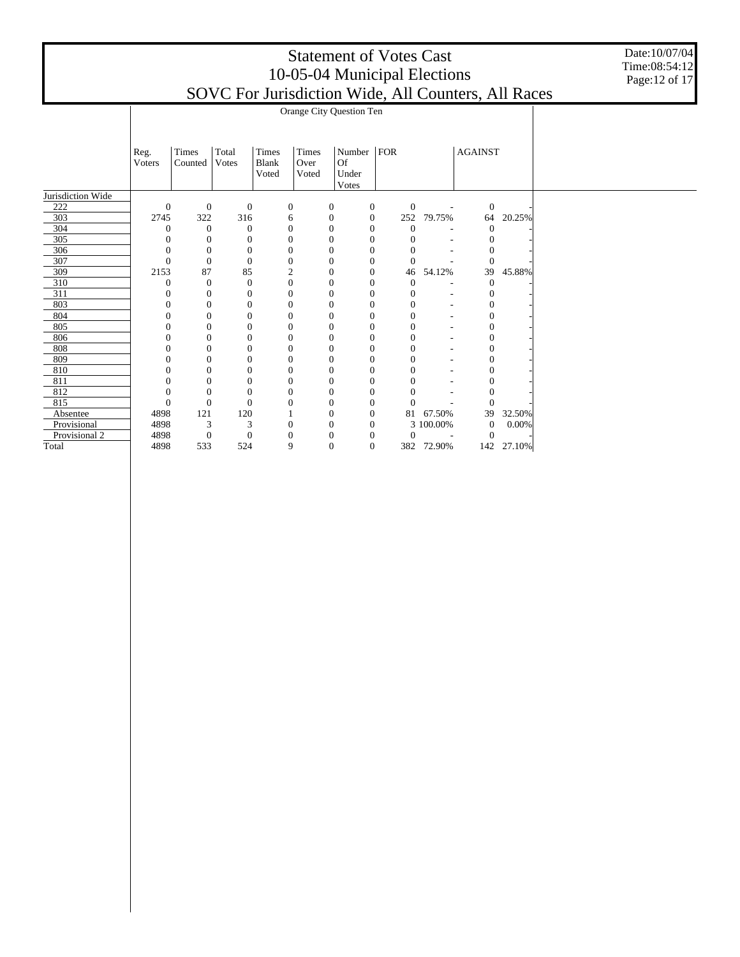Date:10/07/04 Time:08:54:12 Page:12 of 17

|                   |                  | Orange City Question Ten |                       |                                |                        |                                |                  |                  |                          |                  |        |  |  |  |  |
|-------------------|------------------|--------------------------|-----------------------|--------------------------------|------------------------|--------------------------------|------------------|------------------|--------------------------|------------------|--------|--|--|--|--|
|                   | Reg.<br>Voters   | Times<br>Counted         | Total<br><b>Votes</b> | Times<br><b>Blank</b><br>Voted | Times<br>Over<br>Voted | Number<br>Of<br>Under<br>Votes | FOR              |                  |                          | <b>AGAINST</b>   |        |  |  |  |  |
| Jurisdiction Wide |                  |                          |                       |                                |                        |                                |                  |                  |                          |                  |        |  |  |  |  |
| 222               | $\boldsymbol{0}$ | $\mathbf{0}$             | $\mathbf{0}$          |                                | $\boldsymbol{0}$       | 0                              | $\mathbf{0}$     | $\boldsymbol{0}$ | $\overline{\phantom{a}}$ | $\mathbf{0}$     |        |  |  |  |  |
| 303               | 2745             | 322                      | 316                   |                                | 6                      | $\boldsymbol{0}$               | $\mathbf{0}$     | 252              | 79.75%                   | 64               | 20.25% |  |  |  |  |
| 304               | $\mathbf{0}$     | $\theta$                 | $\theta$              |                                | $\boldsymbol{0}$       | $\mathbf{0}$                   | $\mathbf{0}$     | $\mathbf{0}$     |                          | $\mathbf{0}$     |        |  |  |  |  |
| 305               | $\mathbf{0}$     | $\mathbf{0}$             | $\overline{0}$        |                                | $\boldsymbol{0}$       | $\theta$                       | $\mathbf{0}$     | $\mathbf{0}$     |                          | 0                |        |  |  |  |  |
| 306               | $\mathbf{0}$     | $\boldsymbol{0}$         | $\mathbf{0}$          |                                | $\boldsymbol{0}$       | $\overline{0}$                 | $\mathbf{0}$     | $\theta$         |                          | $\overline{0}$   |        |  |  |  |  |
| 307               | $\overline{0}$   | $\overline{0}$           | $\overline{0}$        |                                | $\mathbf{0}$           | $\theta$                       | $\Omega$         | $\mathbf{0}$     |                          | $\theta$         |        |  |  |  |  |
| 309               | 2153             | 87                       | 85                    |                                | 2                      | $\overline{0}$                 | $\mathbf{0}$     | 46               | 54.12%                   | 39               | 45.88% |  |  |  |  |
| 310               | $\mathbf{0}$     | $\mathbf{0}$             | $\mathbf{0}$          |                                | $\boldsymbol{0}$       | $\overline{0}$                 | $\mathbf{0}$     | $\overline{0}$   |                          | $\theta$         |        |  |  |  |  |
| 311               | $\mathbf{0}$     | $\mathbf{0}$             | $\overline{0}$        |                                | $\mathbf{0}$           | $\theta$                       | $\Omega$         | 0                |                          | $\mathbf{0}$     |        |  |  |  |  |
| 803               | $\mathbf{0}$     | $\mathbf{0}$             | $\overline{0}$        |                                | $\boldsymbol{0}$       | $\theta$                       | $\overline{0}$   | $\mathbf{0}$     |                          | $\mathbf{0}$     |        |  |  |  |  |
| 804               | $\boldsymbol{0}$ | $\mathbf{0}$             | $\mathbf{0}$          |                                | $\boldsymbol{0}$       | $\mathbf{0}$                   | $\boldsymbol{0}$ | $\overline{0}$   |                          | $\boldsymbol{0}$ |        |  |  |  |  |
| 805               | $\Omega$         | $\Omega$                 | $\overline{0}$        |                                | $\mathbf{0}$           | $\theta$                       | $\Omega$         | 0                |                          | $\mathbf{0}$     |        |  |  |  |  |
| 806               | $\Omega$         | $\mathbf{0}$             | $\overline{0}$        |                                | $\mathbf{0}$           | $\theta$                       | $\theta$         | 0                |                          | 0                |        |  |  |  |  |
| 808               | $\overline{0}$   | $\overline{0}$           | $\mathbf{0}$          |                                | $\boldsymbol{0}$       | $\overline{0}$                 | $\boldsymbol{0}$ | $\overline{0}$   |                          | $\mathbf{0}$     |        |  |  |  |  |
| 809               | $\Omega$         | $\Omega$                 | $\Omega$              |                                | $\boldsymbol{0}$       | $\theta$                       | $\Omega$         | $\theta$         |                          | $\mathbf{0}$     |        |  |  |  |  |
| 810               | $\boldsymbol{0}$ | $\mathbf{0}$             | $\overline{0}$        |                                | $\boldsymbol{0}$       | $\theta$                       | $\theta$         | 0                |                          | $\mathbf{0}$     |        |  |  |  |  |
| 811               | $\overline{0}$   | $\overline{0}$           | $\mathbf{0}$          |                                | $\boldsymbol{0}$       | $\overline{0}$                 | $\boldsymbol{0}$ | $\overline{0}$   |                          | $\mathbf{0}$     |        |  |  |  |  |
| 812               | $\Omega$         | $\Omega$                 | $\Omega$              |                                | $\mathbf{0}$           | $\theta$                       | $\Omega$         | 0                |                          | $\Omega$         |        |  |  |  |  |
| 815               | $\mathbf{0}$     | $\mathbf{0}$             | $\Omega$              |                                | 0                      | $\Omega$                       | $\theta$         | $\theta$         |                          | $\Omega$         |        |  |  |  |  |
| Absentee          | 4898             | 121                      | 120                   |                                |                        | $\mathbf{0}$                   | $\mathbf{0}$     | 81               | 67.50%                   | 39               | 32.50% |  |  |  |  |
| Provisional       | 4898             | 3                        | 3                     |                                | $\boldsymbol{0}$       | $\theta$                       | $\Omega$         |                  | 3 100.00%                | $\boldsymbol{0}$ | 0.00%  |  |  |  |  |
| Provisional 2     | 4898             | $\mathbf{0}$             | $\theta$              |                                | $\overline{0}$         | $\theta$                       | $\theta$         | $\overline{0}$   |                          | $\Omega$         |        |  |  |  |  |
| Total             | 4898             | 533                      | 524                   |                                | 9                      | $\overline{0}$                 | $\mathbf{0}$     | 382              | 72.90%                   | 142              | 27.10% |  |  |  |  |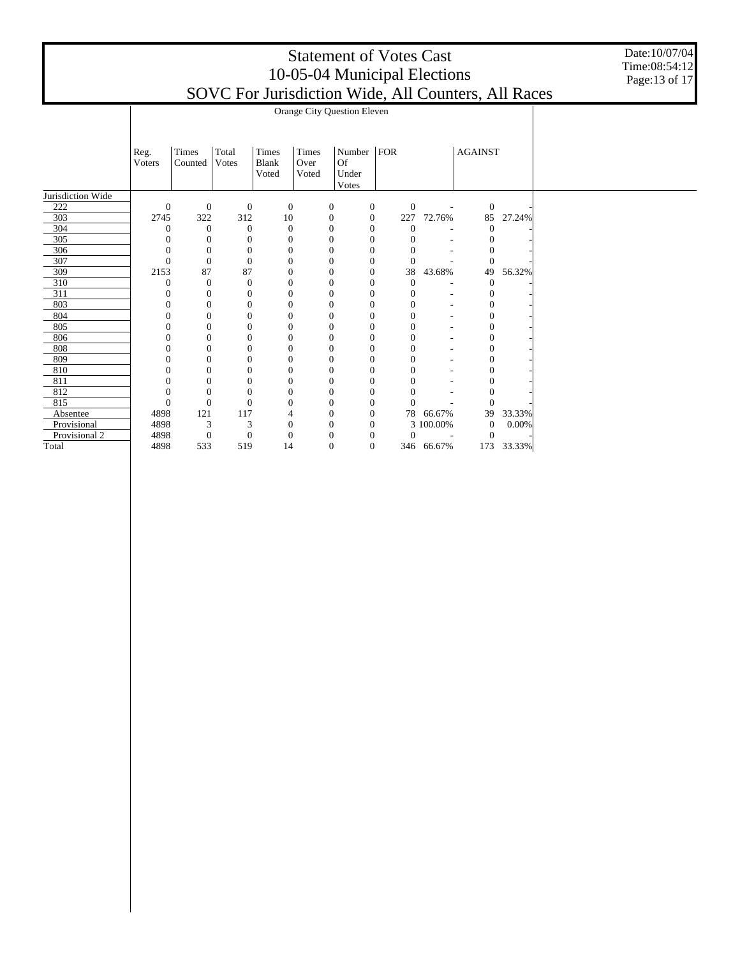Date:10/07/04 Time:08:54:12 Page:13 of 17

|                   | Orange City Question Eleven |                  |                  |                  |       |                                      |  |                  |                |                  |        |  |  |
|-------------------|-----------------------------|------------------|------------------|------------------|-------|--------------------------------------|--|------------------|----------------|------------------|--------|--|--|
|                   |                             |                  |                  |                  |       |                                      |  |                  |                |                  |        |  |  |
|                   |                             |                  |                  |                  |       |                                      |  |                  |                |                  |        |  |  |
|                   | Times<br>Reg.               |                  | Total            | Times            | Times | Number $ FOR$                        |  |                  | <b>AGAINST</b> |                  |        |  |  |
|                   | Voters                      | Counted          | Votes            | <b>Blank</b>     | Over  | Of                                   |  |                  |                |                  |        |  |  |
|                   |                             |                  |                  | Voted            | Voted | Under                                |  |                  |                |                  |        |  |  |
|                   |                             |                  |                  |                  |       | Votes                                |  |                  |                |                  |        |  |  |
| Jurisdiction Wide |                             |                  |                  |                  |       |                                      |  |                  |                |                  |        |  |  |
| 222               | $\mathbf{0}$                | $\mathbf{0}$     | $\mathbf{0}$     | $\boldsymbol{0}$ |       | $\mathbf{0}$<br>$\boldsymbol{0}$     |  | $\boldsymbol{0}$ | $\sim$         | $\mathbf{0}$     |        |  |  |
| 303               | 2745                        | 322              | 312              | 10               |       | $\boldsymbol{0}$<br>$\boldsymbol{0}$ |  | 227              | 72.76%         | 85               | 27.24% |  |  |
| 304               | $\theta$                    | $\theta$         | $\theta$         | $\overline{0}$   |       | $\mathbf{0}$<br>$\boldsymbol{0}$     |  | $\theta$         |                | $\mathbf{0}$     |        |  |  |
| 305               | 0                           | $\mathbf{0}$     | $\theta$         | $\boldsymbol{0}$ |       | $\mathbf{0}$<br>$\mathbf{0}$         |  | $\Omega$         |                | $\mathbf{0}$     |        |  |  |
| 306               | $\theta$                    | $\mathbf{0}$     | $\mathbf{0}$     | $\overline{0}$   |       | $\mathbf{0}$<br>$\theta$             |  | $\theta$         |                | $\overline{0}$   |        |  |  |
| 307               | $\Omega$                    | $\Omega$         | $\theta$         | $\theta$         |       | $\mathbf{0}$<br>$\mathbf{0}$         |  | $\theta$         |                | $\Omega$         |        |  |  |
| 309               | 2153                        | 87               | 87               | $\theta$         |       | $\mathbf{0}$<br>$\boldsymbol{0}$     |  | 38               | 43.68%         | 49               | 56.32% |  |  |
| 310               | $\theta$                    | $\boldsymbol{0}$ | $\boldsymbol{0}$ | $\theta$         |       | $\boldsymbol{0}$<br>$\mathbf{0}$     |  | $\mathbf{0}$     |                | $\boldsymbol{0}$ |        |  |  |
| 311               | $\theta$                    | $\mathbf{0}$     | $\mathbf{0}$     | $\mathbf{0}$     |       | $\mathbf{0}$<br>$\mathbf{0}$         |  | $\mathbf{0}$     |                | $\mathbf{0}$     |        |  |  |
| 803               | $\overline{0}$              | $\mathbf{0}$     | $\theta$         | $\mathbf{0}$     |       | $\mathbf{0}$<br>$\boldsymbol{0}$     |  | $\mathbf{0}$     |                | $\mathbf{0}$     |        |  |  |
| 804               | $\overline{0}$              | $\mathbf{0}$     | $\theta$         | $\theta$         |       | $\mathbf{0}$<br>$\mathbf{0}$         |  | $\overline{0}$   |                | $\overline{0}$   |        |  |  |
| 805               | 0                           | $\Omega$         | $\Omega$         | $\theta$         |       | $\Omega$<br>$\overline{0}$           |  | $\Omega$         |                | $\Omega$         |        |  |  |
| 806               | 0                           | $\Omega$         | 0                | $\Omega$         |       | 0<br>$\boldsymbol{0}$                |  | $\mathbf{0}$     |                | $\boldsymbol{0}$ |        |  |  |
| 808               |                             | $\mathbf{0}$     | $\overline{0}$   | $\theta$         |       | $\mathbf{0}$<br>$\mathbf{0}$         |  | $\overline{0}$   |                | $\mathbf{0}$     |        |  |  |
| 809               | 0                           | $\Omega$         | 0                | $\mathbf{0}$     |       | $\mathbf{0}$<br>$\overline{0}$       |  | $\Omega$         |                | $\mathbf{0}$     |        |  |  |
| 810               | 0                           | $\Omega$         | 0                | $\theta$         |       | $\mathbf{0}$<br>$\boldsymbol{0}$     |  | 0                |                | $\mathbf{0}$     |        |  |  |
| 811               | C                           | 0                | $\overline{0}$   | $\theta$         |       | $\mathbf{0}$<br>$\mathbf{0}$         |  | $\theta$         |                | $\overline{0}$   |        |  |  |
| 812               | 0                           | $\Omega$         | 0                | $\theta$         |       | $\mathbf{0}$<br>$\overline{0}$       |  |                  |                | $\Omega$         |        |  |  |
| 815               | $\overline{0}$              | $\mathbf{0}$     | $\theta$         | $\Omega$         |       | $\mathbf{0}$<br>$\mathbf{0}$         |  | $\Omega$         |                | $\Omega$         |        |  |  |
| Absentee          | 4898                        | 121              | 117              | 4                |       | $\mathbf{0}$<br>$\boldsymbol{0}$     |  |                  | 78 66.67%      | 39               | 33.33% |  |  |
| Provisional       | 4898                        | 3                | 3                | $\mathbf{0}$     |       | $\mathbf{0}$<br>$\theta$             |  |                  | 3 100.00%      | $\mathbf{0}$     | 0.00%  |  |  |
| Provisional 2     | 4898                        | $\boldsymbol{0}$ | $\boldsymbol{0}$ | $\overline{0}$   |       | $\mathbf{0}$<br>$\mathbf{0}$         |  | $\mathbf{0}$     |                | $\theta$         |        |  |  |
| Total             | 4898                        | 533              | 519              | 14               |       | $\overline{0}$<br>$\mathbf{0}$       |  |                  | 346 66.67%     | 173              | 33.33% |  |  |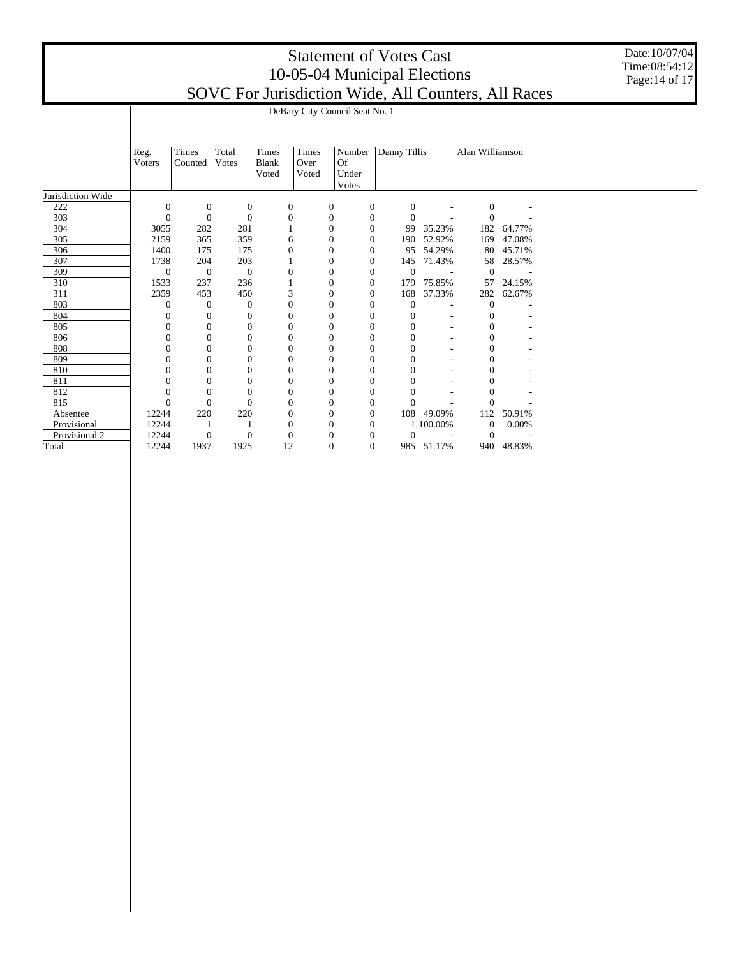Date:10/07/04 Time:08:54:12 Page:14 of 17

|                   | DeBary City Council Seat No. 1 |                  |                  |                       |                  |                             |                  |                  |            |                  |            |  |
|-------------------|--------------------------------|------------------|------------------|-----------------------|------------------|-----------------------------|------------------|------------------|------------|------------------|------------|--|
|                   | Reg.                           | Times            | Total            | Times                 | Times            | Number                      |                  | Danny Tillis     |            | Alan Williamson  |            |  |
|                   | Voters                         | Counted          | Votes            | <b>Blank</b><br>Voted | Over<br>Voted    | Of<br>Under<br><b>Votes</b> |                  |                  |            |                  |            |  |
| Jurisdiction Wide |                                |                  |                  |                       |                  |                             |                  |                  |            |                  |            |  |
| 222               | $\boldsymbol{0}$               | $\boldsymbol{0}$ | $\boldsymbol{0}$ |                       | $\mathbf{0}$     | $\boldsymbol{0}$            | $\mathbf{0}$     | $\mathbf{0}$     |            | $\boldsymbol{0}$ |            |  |
| 303               | $\mathbf{0}$                   | $\boldsymbol{0}$ | $\mathbf{0}$     |                       | $\boldsymbol{0}$ | $\boldsymbol{0}$            | $\boldsymbol{0}$ | $\overline{0}$   |            | $\theta$         |            |  |
| 304               | 3055                           | 282              | 281              |                       |                  | $\mathbf{0}$                | $\theta$         | 99               | 35.23%     |                  | 182 64.77% |  |
| 305               | 2159                           | 365              | 359              |                       | 6                | $\overline{0}$              | $\theta$         | 190              | 52.92%     | 169              | 47.08%     |  |
| 306               | 1400                           | 175              | 175              |                       | 0                | $\boldsymbol{0}$            | $\mathbf{0}$     | 95               | 54.29%     | 80               | 45.71%     |  |
| 307               | 1738                           | 204              | 203              |                       |                  | $\overline{0}$              | $\theta$         | 145              | 71.43%     | 58               | 28.57%     |  |
| 309               | $\mathbf{0}$                   | $\boldsymbol{0}$ | $\mathbf{0}$     |                       | $\boldsymbol{0}$ | $\mathbf{0}$                | $\mathbf{0}$     | $\boldsymbol{0}$ | $\sim$     | $\overline{0}$   |            |  |
| 310               | 1533                           | 237              | 236              |                       |                  | $\mathbf{0}$                | $\boldsymbol{0}$ | 179              | 75.85%     | 57               | 24.15%     |  |
| 311               | 2359                           | 453              | 450              |                       | 3                | $\overline{0}$              | $\theta$         | 168              | 37.33%     | 282              | 62.67%     |  |
| 803               | $\theta$                       | $\boldsymbol{0}$ | $\mathbf{0}$     |                       | $\boldsymbol{0}$ | $\overline{0}$              | $\mathbf 0$      | $\mathbf{0}$     | ٠          | $\mathbf{0}$     |            |  |
| 804               | $\theta$                       | $\boldsymbol{0}$ | $\mathbf{0}$     |                       | $\boldsymbol{0}$ | $\mathbf{0}$                | $\boldsymbol{0}$ | $\mathbf{0}$     | ٠          | $\Omega$         |            |  |
| 805               | $\theta$                       | $\mathbf{0}$     | $\mathbf{0}$     |                       | $\mathbf{0}$     | $\overline{0}$              | $\mathbf{0}$     | $\overline{0}$   | ٠          | $\Omega$         |            |  |
| 806               | 0                              | $\boldsymbol{0}$ | $\theta$         |                       | $\mathbf{0}$     | $\mathbf{0}$                | $\mathbf{0}$     | 0                | ٠          | 0                |            |  |
| 808               |                                | $\boldsymbol{0}$ | $\theta$         |                       | $\mathbf{0}$     | $\theta$                    | $\boldsymbol{0}$ | $\overline{0}$   |            |                  |            |  |
| 809               | 0                              | $\Omega$         | $\Omega$         |                       | $\mathbf{0}$     | $\Omega$                    | $\mathbf{0}$     | $\theta$         |            | $\Omega$         |            |  |
| 810               | 0                              | $\overline{0}$   | $\theta$         |                       | $\boldsymbol{0}$ | $\mathbf{0}$                | $\boldsymbol{0}$ | $\overline{0}$   |            | $\Omega$         |            |  |
| 811               |                                | $\boldsymbol{0}$ | $\mathbf{0}$     |                       | $\mathbf{0}$     | $\overline{0}$              | $\mathbf{0}$     | $\overline{0}$   | ٠          |                  |            |  |
| 812               | 0                              | $\boldsymbol{0}$ | $\mathbf{0}$     |                       | $\mathbf{0}$     | $\overline{0}$              | $\mathbf{0}$     | $\theta$         |            | 0                |            |  |
| 815               | $\theta$                       | $\boldsymbol{0}$ | $\Omega$         |                       | $\mathbf{0}$     | $\mathbf{0}$                | $\boldsymbol{0}$ | $\Omega$         |            |                  |            |  |
| Absentee          | 12244                          | 220              | 220              |                       | $\boldsymbol{0}$ | $\boldsymbol{0}$            | $\mathbf{0}$     | 108              | 49.09%     | 112              | 50.91%     |  |
| Provisional       | 12244                          |                  |                  |                       | $\boldsymbol{0}$ | $\mathbf{0}$                | $\theta$         |                  | 1 100.00%  | $\overline{0}$   | 0.00%      |  |
| Provisional 2     | 12244                          | $\boldsymbol{0}$ | $\theta$         |                       | $\mathbf{0}$     | $\mathbf{0}$                | $\theta$         | $\overline{0}$   |            | $\Omega$         |            |  |
| Total             | 12244                          | 1937             | 1925             |                       | 12               | $\overline{0}$              | $\mathbf{0}$     |                  | 985 51.17% | 940              | 48.83%     |  |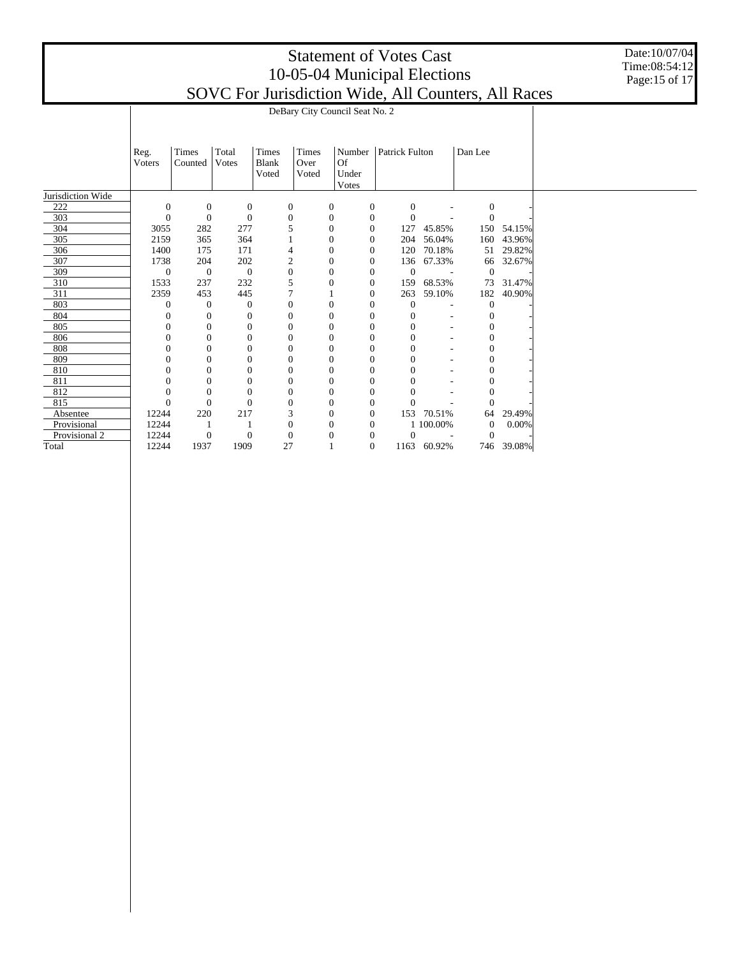Date:10/07/04 Time:08:54:12 Page:15 of 17

|                   | DeBary City Council Seat No. 2 |                  |                  |                       |                  |                             |                  |                  |                          |                  |            |  |  |  |
|-------------------|--------------------------------|------------------|------------------|-----------------------|------------------|-----------------------------|------------------|------------------|--------------------------|------------------|------------|--|--|--|
|                   | Times<br>Total<br>Reg.         |                  | Times            | Times                 | Number           |                             | Patrick Fulton   |                  | Dan Lee                  |                  |            |  |  |  |
|                   | Voters                         | Counted          | Votes            | <b>Blank</b><br>Voted | Over<br>Voted    | <b>Of</b><br>Under<br>Votes |                  |                  |                          |                  |            |  |  |  |
| Jurisdiction Wide |                                |                  |                  |                       |                  |                             |                  |                  |                          |                  |            |  |  |  |
| 222               | $\mathbf{0}$                   | $\mathbf{0}$     | $\boldsymbol{0}$ |                       | $\boldsymbol{0}$ | 0                           | 0                | $\boldsymbol{0}$ |                          | $\boldsymbol{0}$ |            |  |  |  |
| 303               | $\boldsymbol{0}$               | $\overline{0}$   | $\mathbf{0}$     |                       | $\mathbf{0}$     | $\mathbf{0}$                | $\boldsymbol{0}$ | $\overline{0}$   |                          | $\Omega$         |            |  |  |  |
| 304               | 3055                           | 282              | 277              |                       | 5                | $\overline{0}$              | $\mathbf{0}$     | 127              | 45.85%                   |                  | 150 54.15% |  |  |  |
| 305               | 2159                           | 365              | 364              |                       |                  | $\boldsymbol{0}$            | $\mathbf{0}$     | 204              | 56.04%                   | 160              | 43.96%     |  |  |  |
| 306               | 1400                           | 175              | 171              |                       | 4                | $\mathbf{0}$                | $\mathbf{0}$     | 120              | 70.18%                   | 51               | 29.82%     |  |  |  |
| 307               | 1738                           | 204              | 202              |                       | $\overline{c}$   | $\mathbf{0}$                | $\mathbf{0}$     | 136              | 67.33%                   | 66               | 32.67%     |  |  |  |
| 309               | $\boldsymbol{0}$               | $\theta$         | $\mathbf{0}$     |                       | $\boldsymbol{0}$ | $\overline{0}$              | $\mathbf{0}$     | $\overline{0}$   | $\overline{\phantom{a}}$ | $\theta$         |            |  |  |  |
| 310               | 1533                           | 237              | 232              |                       | 5                | $\boldsymbol{0}$            | $\boldsymbol{0}$ | 159              | 68.53%                   | 73               | 31.47%     |  |  |  |
| 311               | 2359                           | 453              | 445              |                       | 7                |                             | $\mathbf{0}$     | 263              | 59.10%                   | 182              | 40.90%     |  |  |  |
| 803               | $\theta$                       | $\theta$         | $\theta$         |                       | $\boldsymbol{0}$ | $\mathbf{0}$                | $\boldsymbol{0}$ | $\boldsymbol{0}$ | ÷,                       | $\theta$         |            |  |  |  |
| 804               | $\boldsymbol{0}$               | $\boldsymbol{0}$ | $\mathbf{0}$     |                       | $\mathbf{0}$     | $\boldsymbol{0}$            | $\boldsymbol{0}$ | $\mathbf{0}$     | $\overline{\phantom{a}}$ | $\theta$         |            |  |  |  |
| 805               | $\mathbf{0}$                   | $\mathbf{0}$     | $\overline{0}$   |                       | $\boldsymbol{0}$ | $\mathbf{0}$                | $\mathbf{0}$     | $\overline{0}$   | $\sim$                   | $\mathbf{0}$     |            |  |  |  |
| 806               | $\mathbf{0}$                   | $\mathbf{0}$     | $\overline{0}$   |                       | $\boldsymbol{0}$ | $\mathbf{0}$                | $\mathbf{0}$     | $\overline{0}$   | ٠                        | $\mathbf{0}$     |            |  |  |  |
| 808               | $\overline{0}$                 | $\overline{0}$   | $\overline{0}$   |                       | $\boldsymbol{0}$ | $\overline{0}$              | $\theta$         | $\overline{0}$   |                          | $\mathbf{0}$     |            |  |  |  |
| 809               | $\Omega$                       | $\Omega$         | $\overline{0}$   |                       | $\boldsymbol{0}$ | $\mathbf{0}$                | $\mathbf{0}$     | $\overline{0}$   |                          | $\mathbf{0}$     |            |  |  |  |
| 810               | $\mathbf{0}$                   | $\mathbf{0}$     | $\mathbf{0}$     |                       | $\boldsymbol{0}$ | $\mathbf{0}$                | $\mathbf{0}$     | $\overline{0}$   |                          | $\mathbf{0}$     |            |  |  |  |
| 811               | $\mathbf{0}$                   | $\mathbf{0}$     | $\boldsymbol{0}$ |                       | $\mathbf{0}$     | $\boldsymbol{0}$            | $\boldsymbol{0}$ | $\overline{0}$   |                          | $\boldsymbol{0}$ |            |  |  |  |
| 812               | $\mathbf{0}$                   | $\overline{0}$   | $\theta$         |                       | $\boldsymbol{0}$ | $\overline{0}$              | $\mathbf{0}$     | $\theta$         |                          | $\mathbf{0}$     |            |  |  |  |
| 815               | $\mathbf{0}$                   | $\mathbf{0}$     | $\overline{0}$   |                       | $\boldsymbol{0}$ | $\mathbf{0}$                | $\boldsymbol{0}$ | $\Omega$         |                          | $\Omega$         |            |  |  |  |
| Absentee          | 12244                          | 220              | 217              |                       | 3                | $\boldsymbol{0}$            | $\boldsymbol{0}$ | 153              | 70.51%                   | 64               | 29.49%     |  |  |  |
| Provisional       | 12244                          |                  |                  |                       | $\boldsymbol{0}$ | $\mathbf{0}$                | $\mathbf{0}$     |                  | 1 100.00%                | $\mathbf{0}$     | 0.00%      |  |  |  |
| Provisional 2     | 12244                          | $\mathbf{0}$     | $\boldsymbol{0}$ |                       | $\mathbf{0}$     | $\mathbf{0}$                | $\boldsymbol{0}$ | $\overline{0}$   |                          | $\Omega$         |            |  |  |  |
| Total             | 12244                          | 1937             | 1909             |                       | 27               |                             | $\Omega$         | 1163             | 60.92%                   | 746              | 39.08%     |  |  |  |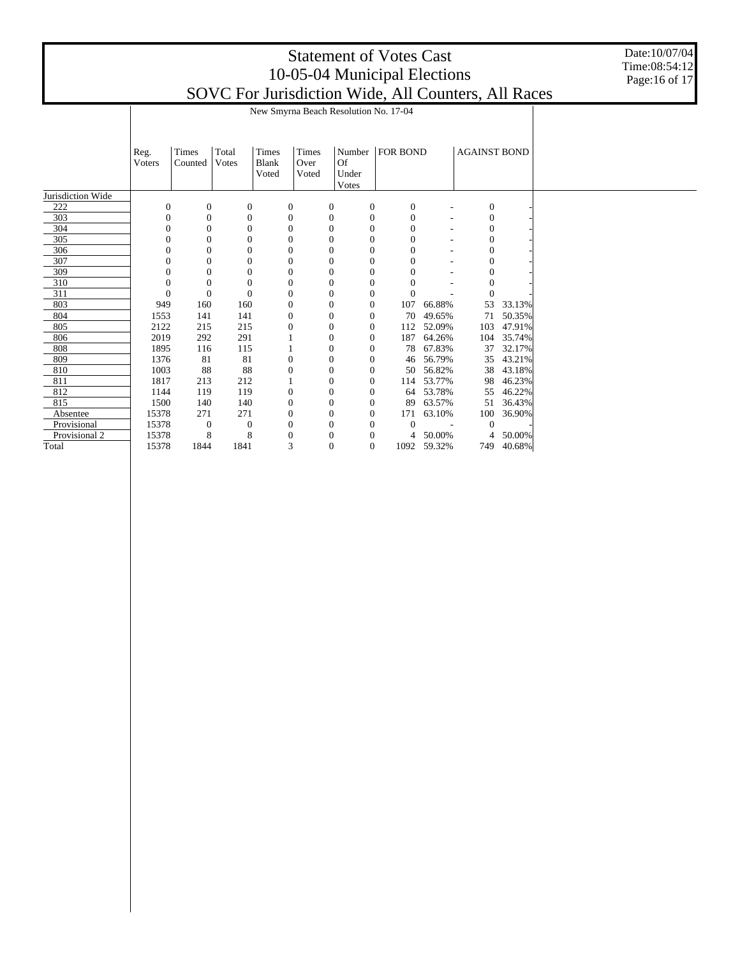Date:10/07/04 Time:08:54:12 Page:16 of 17

|                   | New Smyrna Beach Resolution No. 17-04 |                  |                  |                                |                        |                             |                  |                  |             |                     |        |  |
|-------------------|---------------------------------------|------------------|------------------|--------------------------------|------------------------|-----------------------------|------------------|------------------|-------------|---------------------|--------|--|
|                   | Reg.<br>Voters                        | Times<br>Counted | Total<br>Votes   | Times<br><b>Blank</b><br>Voted | Times<br>Over<br>Voted | <b>Of</b><br>Under<br>Votes | Number           | <b>FOR BOND</b>  |             | <b>AGAINST BOND</b> |        |  |
| Jurisdiction Wide |                                       |                  |                  |                                |                        |                             |                  |                  |             |                     |        |  |
| 222               | $\boldsymbol{0}$                      | $\boldsymbol{0}$ | $\mathbf{0}$     |                                | $\boldsymbol{0}$       | 0                           | $\boldsymbol{0}$ | $\mathbf{0}$     |             | $\boldsymbol{0}$    |        |  |
| 303               | $\theta$                              | $\mathbf{0}$     | $\mathbf{0}$     |                                | $\boldsymbol{0}$       | $\mathbf{0}$                | $\theta$         | $\boldsymbol{0}$ |             | $\mathbf{0}$        |        |  |
| 304               | 0                                     | $\overline{0}$   | $\mathbf{0}$     |                                | $\boldsymbol{0}$       | $\theta$                    | $\theta$         | $\theta$         |             | $\mathbf{0}$        |        |  |
| 305               | 0                                     | $\overline{0}$   | $\overline{0}$   |                                | $\mathbf{0}$           | 0                           | $\theta$         | $\overline{0}$   |             | $\overline{0}$      |        |  |
| 306               | 0                                     | $\Omega$         | $\mathbf{0}$     |                                | $\boldsymbol{0}$       | $\Omega$                    | $\theta$         | $\theta$         |             | $\Omega$            |        |  |
| 307               | $\overline{0}$                        | $\overline{0}$   | $\boldsymbol{0}$ |                                | $\boldsymbol{0}$       | 0                           | $\theta$         | $\overline{0}$   |             | 0                   |        |  |
| 309               | 0                                     | $\theta$         | $\overline{0}$   |                                | $\boldsymbol{0}$       | 0                           | $\Omega$         | $\overline{0}$   |             | $\Omega$            |        |  |
| 310               | $\theta$                              | $\Omega$         | $\mathbf{0}$     |                                | $\boldsymbol{0}$       | 0                           | $\Omega$         | $\overline{0}$   |             | $\Omega$            |        |  |
| 311               | $\overline{0}$                        | $\mathbf{0}$     | $\overline{0}$   |                                | $\boldsymbol{0}$       | 0                           | $\theta$         | $\overline{0}$   |             | $\Omega$            |        |  |
| 803               | 949                                   | 160              | 160              |                                | $\boldsymbol{0}$       | 0                           | $\Omega$         | 107              | 66.88%      | 53                  | 33.13% |  |
| 804               | 1553                                  | 141              | 141              |                                | $\boldsymbol{0}$       | 0                           | $\theta$         | 70               | 49.65%      | 71                  | 50.35% |  |
| 805               | 2122                                  | 215              | 215              |                                | $\boldsymbol{0}$       | $\theta$                    | $\theta$         | 112              | 52.09%      | 103                 | 47.91% |  |
| 806               | 2019                                  | 292              | 291              |                                |                        | 0                           | $\theta$         | 187              | 64.26%      | 104                 | 35.74% |  |
| 808               | 1895                                  | 116              | 115              |                                |                        | 0                           | $\theta$         | 78               | 67.83%      | 37                  | 32.17% |  |
| 809               | 1376                                  | 81               | 81               |                                | $\mathbf{0}$           | $\theta$                    | $\overline{0}$   | 46               | 56.79%      | 35                  | 43.21% |  |
| 810               | 1003                                  | 88               | 88               |                                | $\boldsymbol{0}$       | $\mathbf{0}$                | $\theta$         | 50               | 56.82%      | 38                  | 43.18% |  |
| 811               | 1817                                  | 213              | 212              |                                |                        | 0                           | $\theta$         | 114              | 53.77%      | 98                  | 46.23% |  |
| 812               | 1144                                  | 119              | 119              |                                | $\boldsymbol{0}$       | 0                           | $\overline{0}$   | 64               | 53.78%      | 55                  | 46.22% |  |
| 815               | 1500                                  | 140              | 140              |                                | $\boldsymbol{0}$       | $\Omega$                    | $\mathbf{0}$     | 89               | 63.57%      | 51                  | 36.43% |  |
| Absentee          | 15378                                 | 271              | 271              |                                | $\boldsymbol{0}$       | $\overline{0}$              | $\theta$         | 171              | 63.10%      | 100                 | 36.90% |  |
| Provisional       | 15378                                 | $\mathbf{0}$     | 0                |                                | $\boldsymbol{0}$       | 0                           | $\overline{0}$   | $\overline{0}$   |             | $\Omega$            |        |  |
| Provisional 2     | 15378                                 | 8                | 8                |                                | $\boldsymbol{0}$       | 0                           | $\overline{0}$   | 4                | 50.00%      | 4                   | 50.00% |  |
| Total             | 15378                                 | 1844             | 1841             |                                | 3                      | $\mathbf{0}$                | $\overline{0}$   |                  | 1092 59.32% | 749                 | 40.68% |  |